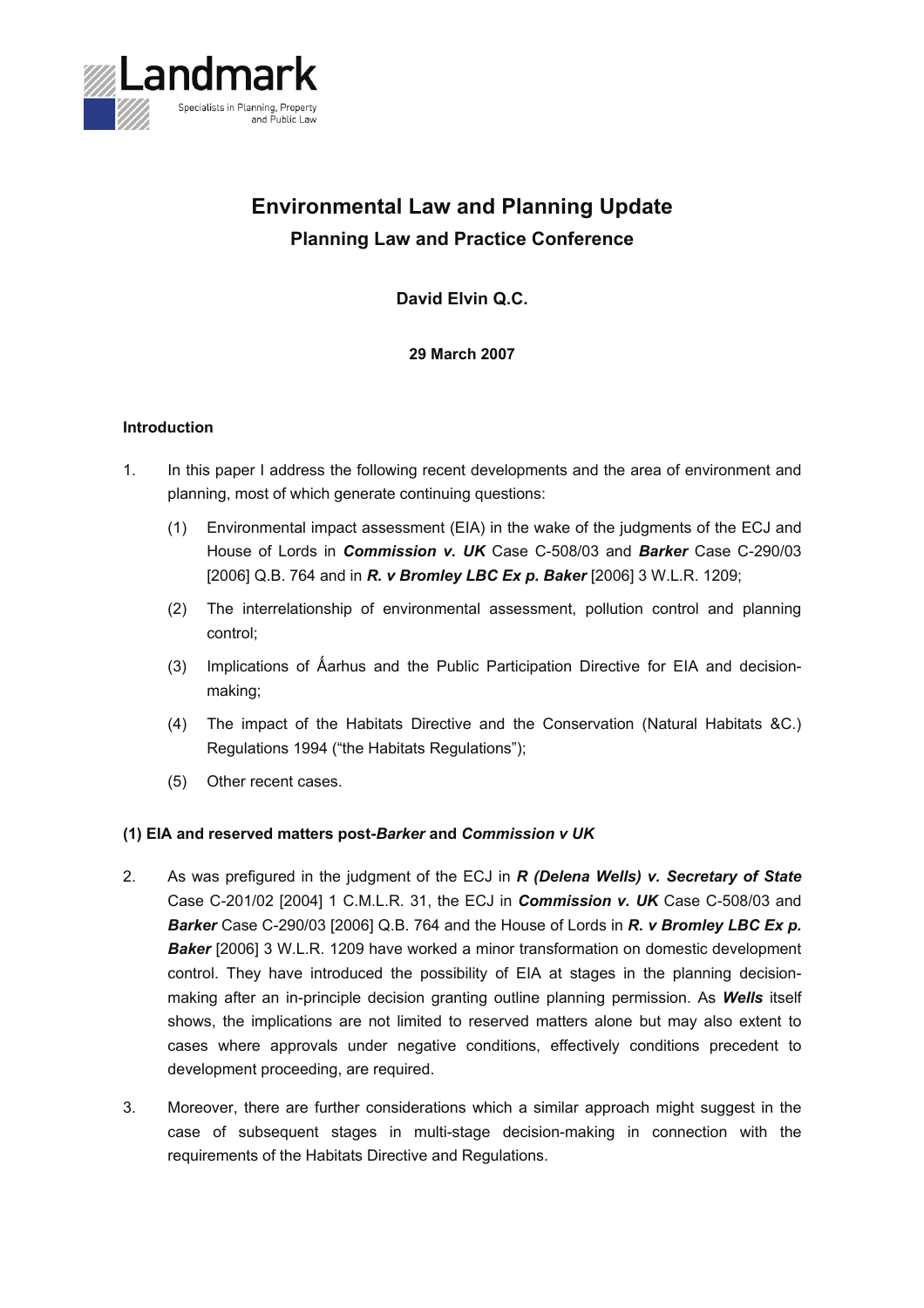

# **Environmental Law and Planning Update Planning Law and Practice Conference**

**David Elvin Q.C.** 

**29 March 2007** 

# **Introduction**

- 1. In this paper I address the following recent developments and the area of environment and planning, most of which generate continuing questions:
	- (1) Environmental impact assessment (EIA) in the wake of the judgments of the ECJ and House of Lords in *Commission v. UK* Case C-508/03 and *Barker* Case C-290/03 [2006] Q.B. 764 and in *R. v Bromley LBC Ex p. Baker* [2006] 3 W.L.R. 1209;
	- (2) The interrelationship of environmental assessment, pollution control and planning control;
	- (3) Implications of Åarhus and the Public Participation Directive for EIA and decisionmaking;
	- (4) The impact of the Habitats Directive and the Conservation (Natural Habitats &C.) Regulations 1994 ("the Habitats Regulations");
	- (5) Other recent cases.

## **(1) EIA and reserved matters post-***Barker* **and** *Commission v UK*

- 2. As was prefigured in the judgment of the ECJ in *R (Delena Wells) v. Secretary of State* Case C-201/02 [2004] 1 C.M.L.R. 31, the ECJ in *Commission v. UK* Case C-508/03 and *Barker* Case C-290/03 [2006] Q.B. 764 and the House of Lords in *R. v Bromley LBC Ex p. Baker* [2006] 3 W.L.R. 1209 have worked a minor transformation on domestic development control. They have introduced the possibility of EIA at stages in the planning decisionmaking after an in-principle decision granting outline planning permission. As *Wells* itself shows, the implications are not limited to reserved matters alone but may also extent to cases where approvals under negative conditions, effectively conditions precedent to development proceeding, are required.
- 3. Moreover, there are further considerations which a similar approach might suggest in the case of subsequent stages in multi-stage decision-making in connection with the requirements of the Habitats Directive and Regulations.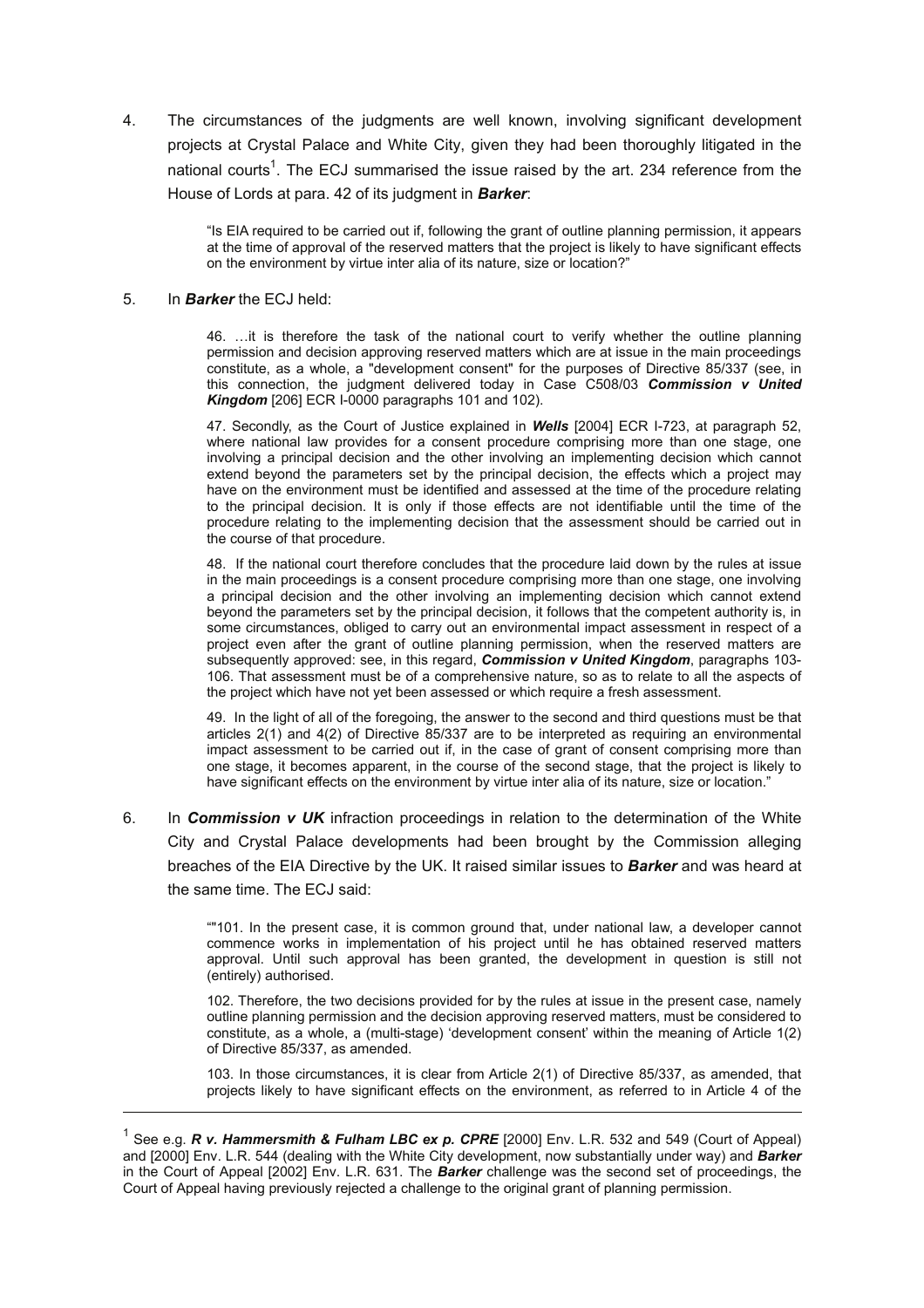4. The circumstances of the judgments are well known, involving significant development projects at Crystal Palace and White City, given they had been thoroughly litigated in the national courts<sup>1</sup>. The ECJ summarised the issue raised by the art. 234 reference from the House of Lords at para. 42 of its judgment in *Barker*:

> "Is EIA required to be carried out if, following the grant of outline planning permission, it appears at the time of approval of the reserved matters that the project is likely to have significant effects on the environment by virtue inter alia of its nature, size or location?"

#### 5. In *Barker* the ECJ held:

46. …it is therefore the task of the national court to verify whether the outline planning permission and decision approving reserved matters which are at issue in the main proceedings constitute, as a whole, a "development consent" for the purposes of Directive 85/337 (see, in this connection, the judgment delivered today in Case C508/03 *Commission v United Kingdom* [206] ECR I-0000 paragraphs 101 and 102).

47. Secondly, as the Court of Justice explained in *Wells* [2004] ECR I-723, at paragraph 52, where national law provides for a consent procedure comprising more than one stage, one involving a principal decision and the other involving an implementing decision which cannot extend beyond the parameters set by the principal decision, the effects which a project may have on the environment must be identified and assessed at the time of the procedure relating to the principal decision. It is only if those effects are not identifiable until the time of the procedure relating to the implementing decision that the assessment should be carried out in the course of that procedure.

48. If the national court therefore concludes that the procedure laid down by the rules at issue in the main proceedings is a consent procedure comprising more than one stage, one involving a principal decision and the other involving an implementing decision which cannot extend beyond the parameters set by the principal decision, it follows that the competent authority is, in some circumstances, obliged to carry out an environmental impact assessment in respect of a project even after the grant of outline planning permission, when the reserved matters are subsequently approved: see, in this regard, *Commission v United Kingdom*, paragraphs 103- 106. That assessment must be of a comprehensive nature, so as to relate to all the aspects of the project which have not yet been assessed or which require a fresh assessment.

49. In the light of all of the foregoing, the answer to the second and third questions must be that articles 2(1) and 4(2) of Directive 85/337 are to be interpreted as requiring an environmental impact assessment to be carried out if, in the case of grant of consent comprising more than one stage, it becomes apparent, in the course of the second stage, that the project is likely to have significant effects on the environment by virtue inter alia of its nature, size or location."

6. In *Commission v UK* infraction proceedings in relation to the determination of the White City and Crystal Palace developments had been brought by the Commission alleging breaches of the EIA Directive by the UK. It raised similar issues to *Barker* and was heard at the same time. The ECJ said:

> ""101. In the present case, it is common ground that, under national law, a developer cannot commence works in implementation of his project until he has obtained reserved matters approval. Until such approval has been granted, the development in question is still not (entirely) authorised.

> 102. Therefore, the two decisions provided for by the rules at issue in the present case, namely outline planning permission and the decision approving reserved matters, must be considered to constitute, as a whole, a (multi-stage) 'development consent' within the meaning of Article 1(2) of Directive 85/337, as amended.

> 103. In those circumstances, it is clear from Article 2(1) of Directive 85/337, as amended, that projects likely to have significant effects on the environment, as referred to in Article 4 of the

<sup>&</sup>lt;sup>1</sup> See e.g. *R v. Hammersmith & Fulham LBC ex p. CPRE* [2000] Env. L.R. 532 and 549 (Court of Appeal) and [2000] Env. L.R. 544 (dealing with the White City development, now substantially under way) and *Barker* in the Court of Appeal [2002] Env. L.R. 631. The *Barker* challenge was the second set of proceedings, the Court of Appeal having previously rejected a challenge to the original grant of planning permission.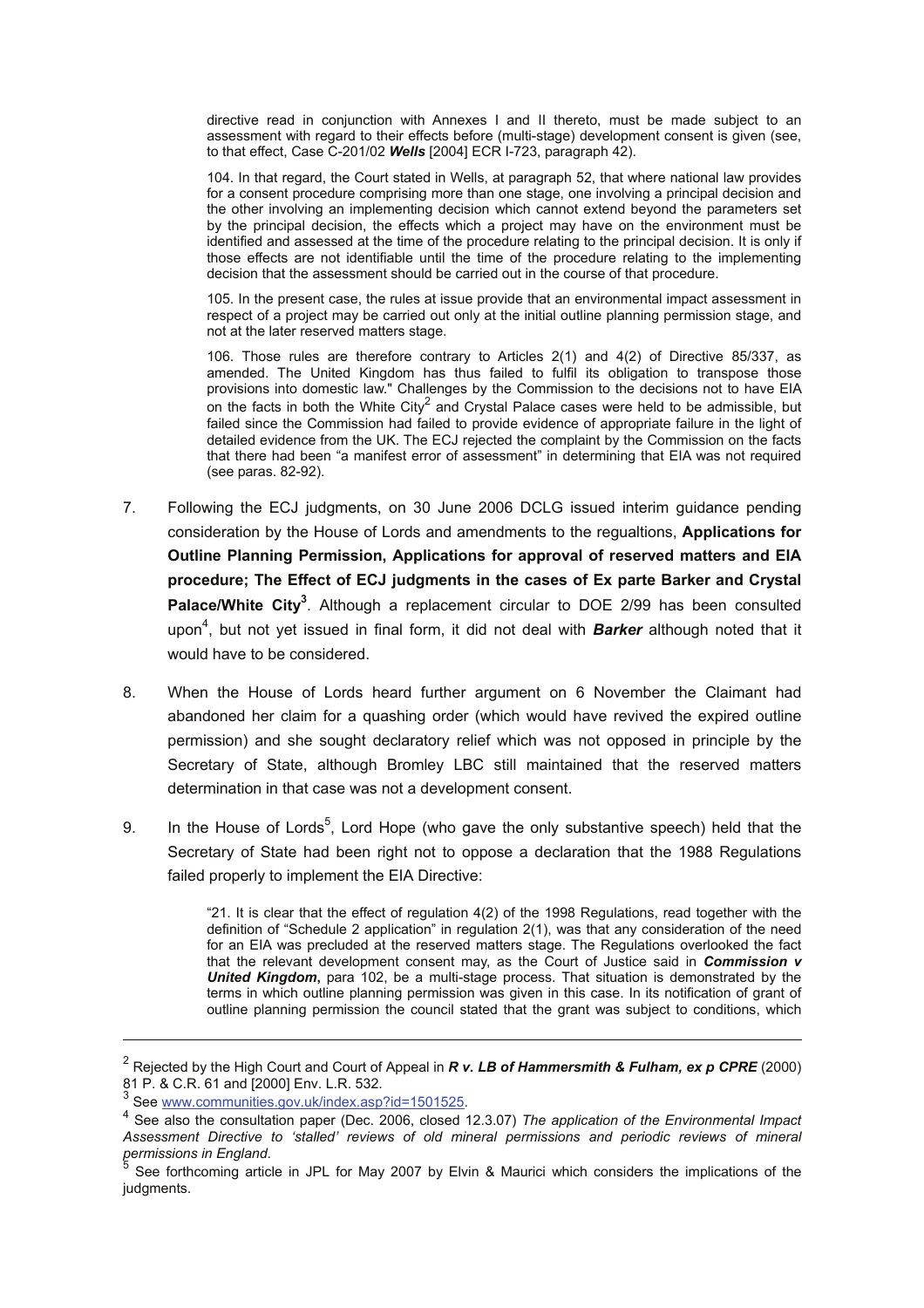directive read in conjunction with Annexes I and II thereto, must be made subject to an assessment with regard to their effects before (multi-stage) development consent is given (see, to that effect, Case C-201/02 *Wells* [2004] ECR I-723, paragraph 42).

104. In that regard, the Court stated in Wells, at paragraph 52, that where national law provides for a consent procedure comprising more than one stage, one involving a principal decision and the other involving an implementing decision which cannot extend beyond the parameters set by the principal decision, the effects which a project may have on the environment must be identified and assessed at the time of the procedure relating to the principal decision. It is only if those effects are not identifiable until the time of the procedure relating to the implementing decision that the assessment should be carried out in the course of that procedure.

105. In the present case, the rules at issue provide that an environmental impact assessment in respect of a project may be carried out only at the initial outline planning permission stage, and not at the later reserved matters stage.

106. Those rules are therefore contrary to Articles 2(1) and 4(2) of Directive 85/337, as amended. The United Kingdom has thus failed to fulfil its obligation to transpose those provisions into domestic law." Challenges by the Commission to the decisions not to have EIA on the facts in both the White City<sup>2</sup> and Crystal Palace cases were held to be admissible, but failed since the Commission had failed to provide evidence of appropriate failure in the light of detailed evidence from the UK. The ECJ rejected the complaint by the Commission on the facts that there had been "a manifest error of assessment" in determining that EIA was not required (see paras. 82-92).

- 7. Following the ECJ judgments, on 30 June 2006 DCLG issued interim guidance pending consideration by the House of Lords and amendments to the regualtions, **Applications for Outline Planning Permission, Applications for approval of reserved matters and EIA procedure; The Effect of ECJ judgments in the cases of Ex parte Barker and Crystal**  Palace/White City<sup>3</sup>. Although a replacement circular to DOE 2/99 has been consulted upon<sup>4</sup>, but not yet issued in final form, it did not deal with **Barker** although noted that it would have to be considered.
- 8. When the House of Lords heard further argument on 6 November the Claimant had abandoned her claim for a quashing order (which would have revived the expired outline permission) and she sought declaratory relief which was not opposed in principle by the Secretary of State, although Bromley LBC still maintained that the reserved matters determination in that case was not a development consent.
- 9. In the House of Lords<sup>5</sup>, Lord Hope (who gave the only substantive speech) held that the Secretary of State had been right not to oppose a declaration that the 1988 Regulations failed properly to implement the EIA Directive:

"21. It is clear that the effect of regulation 4(2) of the 1998 Regulations, read together with the definition of "Schedule 2 application" in regulation 2(1), was that any consideration of the need for an EIA was precluded at the reserved matters stage. The Regulations overlooked the fact that the relevant development consent may, as the Court of Justice said in *Commission v United Kingdom***,** para 102, be a multi-stage process. That situation is demonstrated by the terms in which outline planning permission was given in this case. In its notification of grant of outline planning permission the council stated that the grant was subject to conditions, which

<sup>2</sup> Rejected by the High Court and Court of Appeal in *R v. LB of Hammersmith & Fulham, ex p CPRE* (2000) 81 P. & C.R. 61 and [2000] Env. L.R. 532.

 $3$  See www.communities.gov.uk/index.asp?id=1501525.<br> $4$  See also the canculation paper (Dec. 2006, closed 1

See also the consultation paper (Dec. 2006, closed 12.3.07) *The application of the Environmental Impact Assessment Directive to 'stalled' reviews of old mineral permissions and periodic reviews of mineral permissions in England.*<br>5 **Page 1** *permissions in England.* 

See forthcoming article in JPL for May 2007 by Elvin & Maurici which considers the implications of the judgments.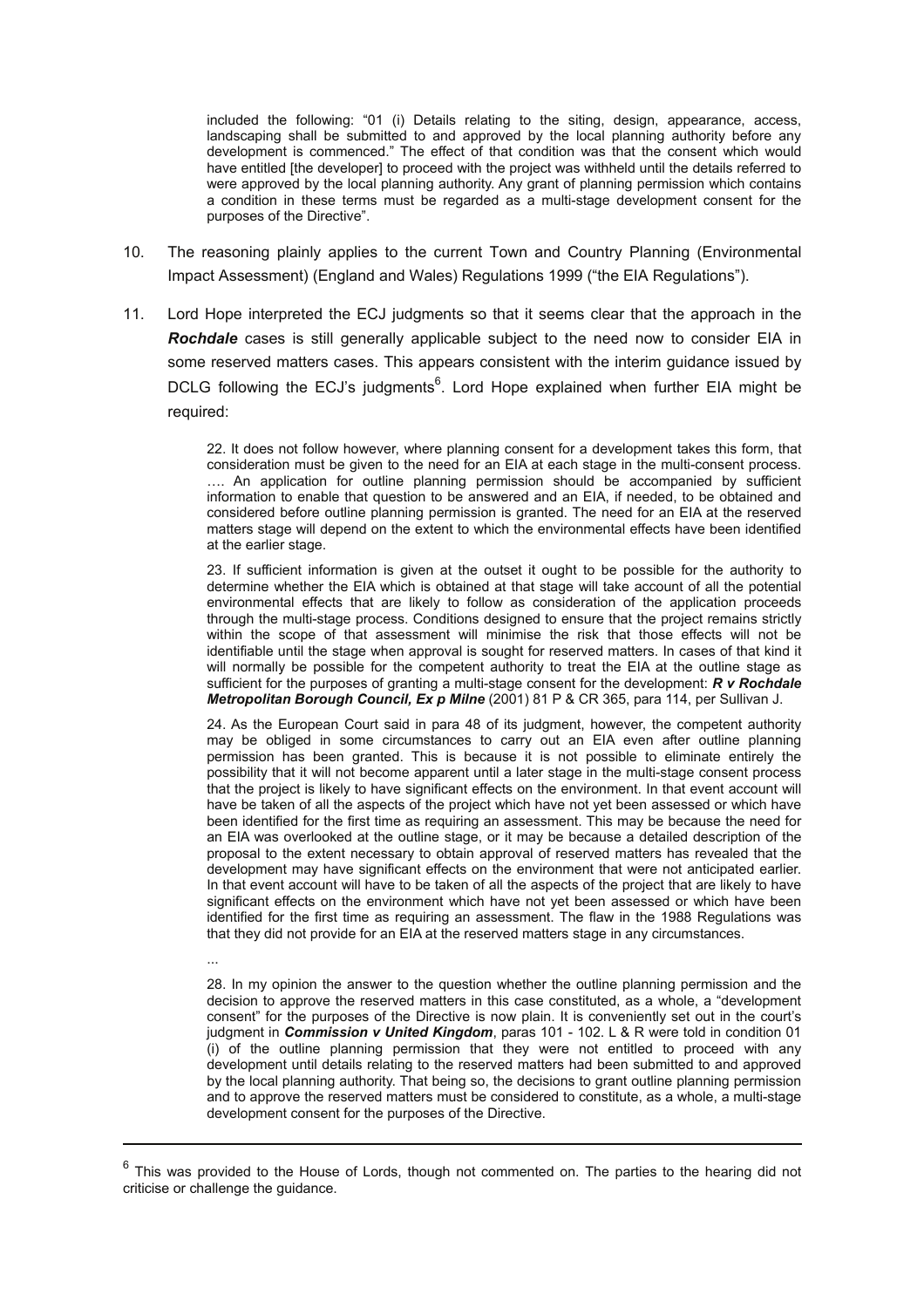included the following: "01 (i) Details relating to the siting, design, appearance, access, landscaping shall be submitted to and approved by the local planning authority before any development is commenced." The effect of that condition was that the consent which would have entitled [the developer] to proceed with the project was withheld until the details referred to were approved by the local planning authority. Any grant of planning permission which contains a condition in these terms must be regarded as a multi-stage development consent for the purposes of the Directive".

- 10. The reasoning plainly applies to the current Town and Country Planning (Environmental Impact Assessment) (England and Wales) Regulations 1999 ("the EIA Regulations").
- 11. Lord Hope interpreted the ECJ judgments so that it seems clear that the approach in the *Rochdale* cases is still generally applicable subject to the need now to consider EIA in some reserved matters cases. This appears consistent with the interim guidance issued by DCLG following the ECJ's judgments $6$ . Lord Hope explained when further EIA might be required:

22. It does not follow however, where planning consent for a development takes this form, that consideration must be given to the need for an EIA at each stage in the multi-consent process. .... An application for outline planning permission should be accompanied by sufficient information to enable that question to be answered and an EIA, if needed, to be obtained and considered before outline planning permission is granted. The need for an EIA at the reserved matters stage will depend on the extent to which the environmental effects have been identified at the earlier stage.

23. If sufficient information is given at the outset it ought to be possible for the authority to determine whether the EIA which is obtained at that stage will take account of all the potential environmental effects that are likely to follow as consideration of the application proceeds through the multi-stage process. Conditions designed to ensure that the project remains strictly within the scope of that assessment will minimise the risk that those effects will not be identifiable until the stage when approval is sought for reserved matters. In cases of that kind it will normally be possible for the competent authority to treat the EIA at the outline stage as sufficient for the purposes of granting a multi-stage consent for the development: *R v Rochdale Metropolitan Borough Council, Ex p Milne* (2001) 81 P & CR 365, para 114, per Sullivan J.

24. As the European Court said in para 48 of its judgment, however, the competent authority may be obliged in some circumstances to carry out an EIA even after outline planning permission has been granted. This is because it is not possible to eliminate entirely the possibility that it will not become apparent until a later stage in the multi-stage consent process that the project is likely to have significant effects on the environment. In that event account will have be taken of all the aspects of the project which have not yet been assessed or which have been identified for the first time as requiring an assessment. This may be because the need for an EIA was overlooked at the outline stage, or it may be because a detailed description of the proposal to the extent necessary to obtain approval of reserved matters has revealed that the development may have significant effects on the environment that were not anticipated earlier. In that event account will have to be taken of all the aspects of the project that are likely to have significant effects on the environment which have not yet been assessed or which have been identified for the first time as requiring an assessment. The flaw in the 1988 Regulations was that they did not provide for an EIA at the reserved matters stage in any circumstances.

...

-

28. In my opinion the answer to the question whether the outline planning permission and the decision to approve the reserved matters in this case constituted, as a whole, a "development consent" for the purposes of the Directive is now plain. It is conveniently set out in the court's judgment in *Commission v United Kingdom*, paras 101 - 102. L & R were told in condition 01 (i) of the outline planning permission that they were not entitled to proceed with any development until details relating to the reserved matters had been submitted to and approved by the local planning authority. That being so, the decisions to grant outline planning permission and to approve the reserved matters must be considered to constitute, as a whole, a multi-stage development consent for the purposes of the Directive.

 $^6$  This was provided to the House of Lords, though not commented on. The parties to the hearing did not criticise or challenge the guidance.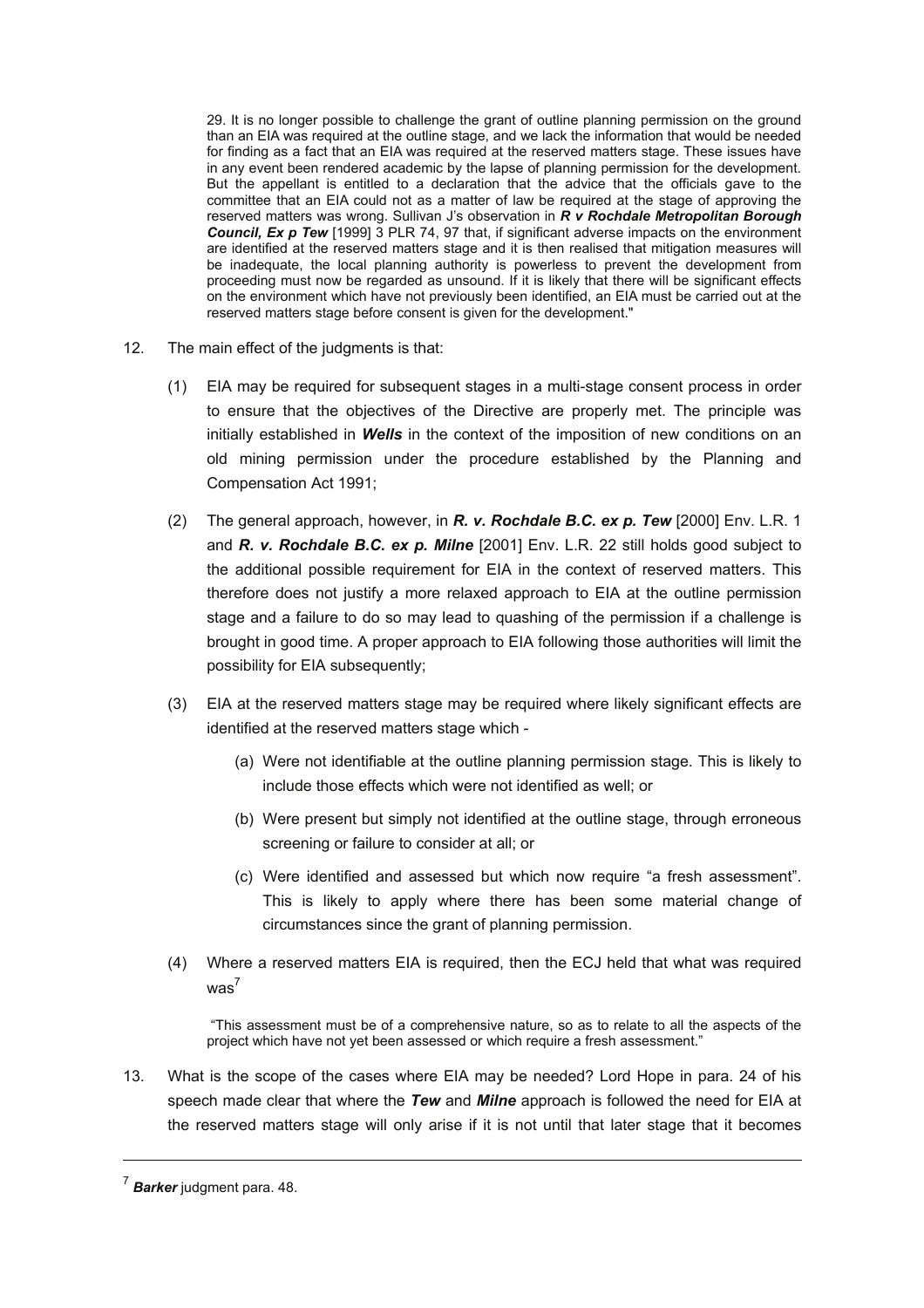29. It is no longer possible to challenge the grant of outline planning permission on the ground than an EIA was required at the outline stage, and we lack the information that would be needed for finding as a fact that an EIA was required at the reserved matters stage. These issues have in any event been rendered academic by the lapse of planning permission for the development. But the appellant is entitled to a declaration that the advice that the officials gave to the committee that an EIA could not as a matter of law be required at the stage of approving the reserved matters was wrong. Sullivan J's observation in *R v Rochdale Metropolitan Borough*  **Council, Ex p Tew** [1999] 3 PLR 74, 97 that, if significant adverse impacts on the environment are identified at the reserved matters stage and it is then realised that mitigation measures will be inadequate, the local planning authority is powerless to prevent the development from proceeding must now be regarded as unsound. If it is likely that there will be significant effects on the environment which have not previously been identified, an EIA must be carried out at the reserved matters stage before consent is given for the development."

- 12. The main effect of the judgments is that:
	- (1) EIA may be required for subsequent stages in a multi-stage consent process in order to ensure that the objectives of the Directive are properly met. The principle was initially established in *Wells* in the context of the imposition of new conditions on an old mining permission under the procedure established by the Planning and Compensation Act 1991;
	- (2) The general approach, however, in *R. v. Rochdale B.C. ex p. Tew* [2000] Env. L.R. 1 and *R. v. Rochdale B.C. ex p. Milne* [2001] Env. L.R. 22 still holds good subject to the additional possible requirement for EIA in the context of reserved matters. This therefore does not justify a more relaxed approach to EIA at the outline permission stage and a failure to do so may lead to quashing of the permission if a challenge is brought in good time. A proper approach to EIA following those authorities will limit the possibility for EIA subsequently;
	- (3) EIA at the reserved matters stage may be required where likely significant effects are identified at the reserved matters stage which -
		- (a) Were not identifiable at the outline planning permission stage. This is likely to include those effects which were not identified as well; or
		- (b) Were present but simply not identified at the outline stage, through erroneous screening or failure to consider at all; or
		- (c) Were identified and assessed but which now require "a fresh assessment". This is likely to apply where there has been some material change of circumstances since the grant of planning permission.
	- (4) Where a reserved matters EIA is required, then the ECJ held that what was required  $was^7$

 "This assessment must be of a comprehensive nature, so as to relate to all the aspects of the project which have not yet been assessed or which require a fresh assessment."

13. What is the scope of the cases where EIA may be needed? Lord Hope in para. 24 of his speech made clear that where the *Tew* and *Milne* approach is followed the need for EIA at the reserved matters stage will only arise if it is not until that later stage that it becomes

<sup>7</sup>  *Barker* judgment para. 48.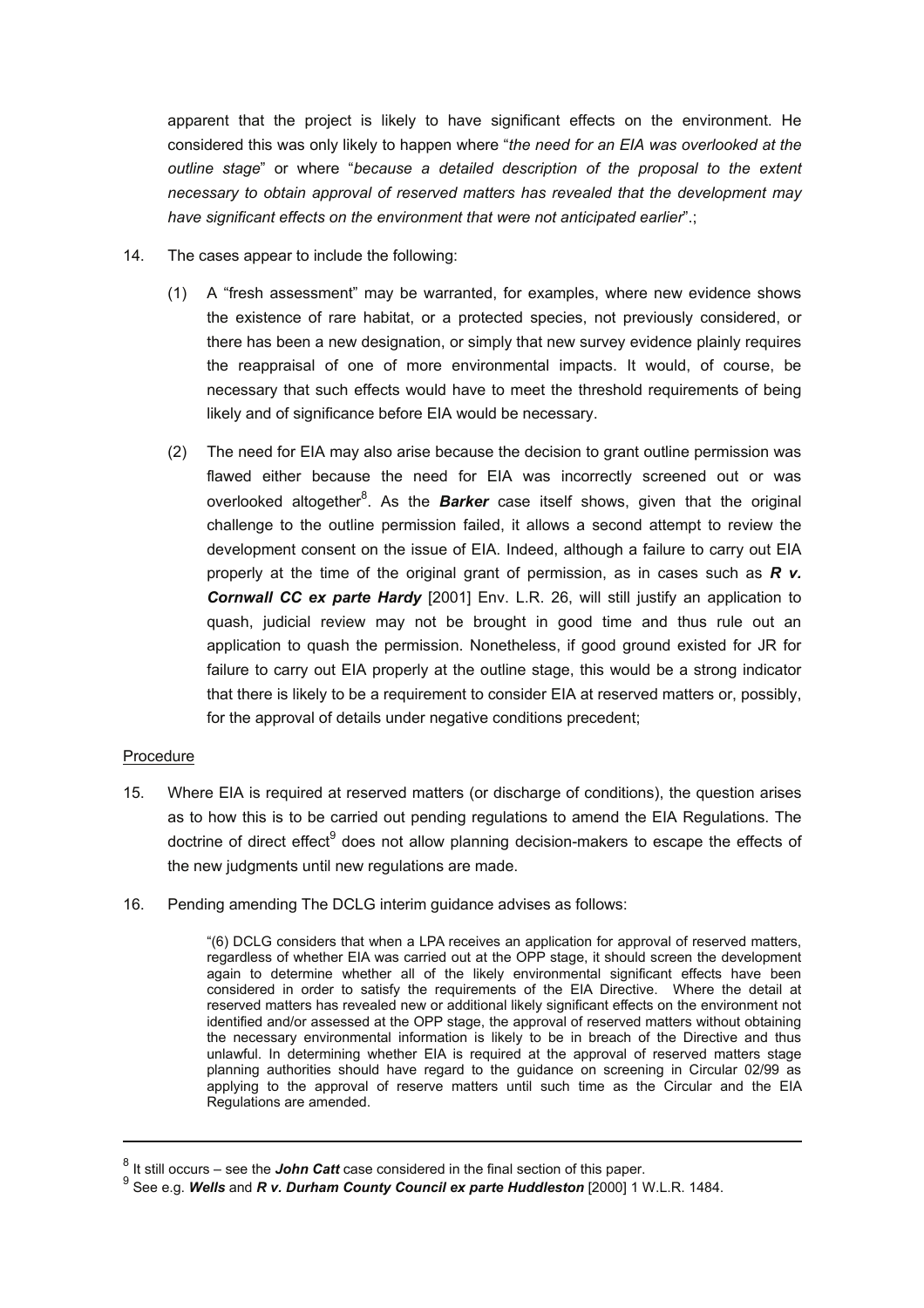apparent that the project is likely to have significant effects on the environment. He considered this was only likely to happen where "*the need for an EIA was overlooked at the outline stage*" or where "*because a detailed description of the proposal to the extent necessary to obtain approval of reserved matters has revealed that the development may have significant effects on the environment that were not anticipated earlier*".;

- 14. The cases appear to include the following:
	- (1) A "fresh assessment" may be warranted, for examples, where new evidence shows the existence of rare habitat, or a protected species, not previously considered, or there has been a new designation, or simply that new survey evidence plainly requires the reappraisal of one of more environmental impacts. It would, of course, be necessary that such effects would have to meet the threshold requirements of being likely and of significance before EIA would be necessary.
	- (2) The need for EIA may also arise because the decision to grant outline permission was flawed either because the need for EIA was incorrectly screened out or was overlooked altogether<sup>8</sup>. As the *Barker* case itself shows, given that the original challenge to the outline permission failed, it allows a second attempt to review the development consent on the issue of EIA. Indeed, although a failure to carry out EIA properly at the time of the original grant of permission, as in cases such as *R v. Cornwall CC ex parte Hardy* [2001] Env. L.R. 26, will still justify an application to quash, judicial review may not be brought in good time and thus rule out an application to quash the permission. Nonetheless, if good ground existed for JR for failure to carry out EIA properly at the outline stage, this would be a strong indicator that there is likely to be a requirement to consider EIA at reserved matters or, possibly, for the approval of details under negative conditions precedent;

## Procedure

-

- 15. Where EIA is required at reserved matters (or discharge of conditions), the question arises as to how this is to be carried out pending regulations to amend the EIA Regulations. The doctrine of direct effect<sup>9</sup> does not allow planning decision-makers to escape the effects of the new judgments until new regulations are made.
- 16. Pending amending The DCLG interim guidance advises as follows:

"(6) DCLG considers that when a LPA receives an application for approval of reserved matters, regardless of whether EIA was carried out at the OPP stage, it should screen the development again to determine whether all of the likely environmental significant effects have been considered in order to satisfy the requirements of the EIA Directive. Where the detail at reserved matters has revealed new or additional likely significant effects on the environment not identified and/or assessed at the OPP stage, the approval of reserved matters without obtaining the necessary environmental information is likely to be in breach of the Directive and thus unlawful. In determining whether EIA is required at the approval of reserved matters stage planning authorities should have regard to the guidance on screening in Circular 02/99 as applying to the approval of reserve matters until such time as the Circular and the EIA Regulations are amended.

<sup>8</sup> It still occurs – see the *John Catt* case considered in the final section of this paper.

<sup>9</sup> See e.g. *Wells* and *R v. Durham County Council ex parte Huddleston* [2000] 1 W.L.R. 1484.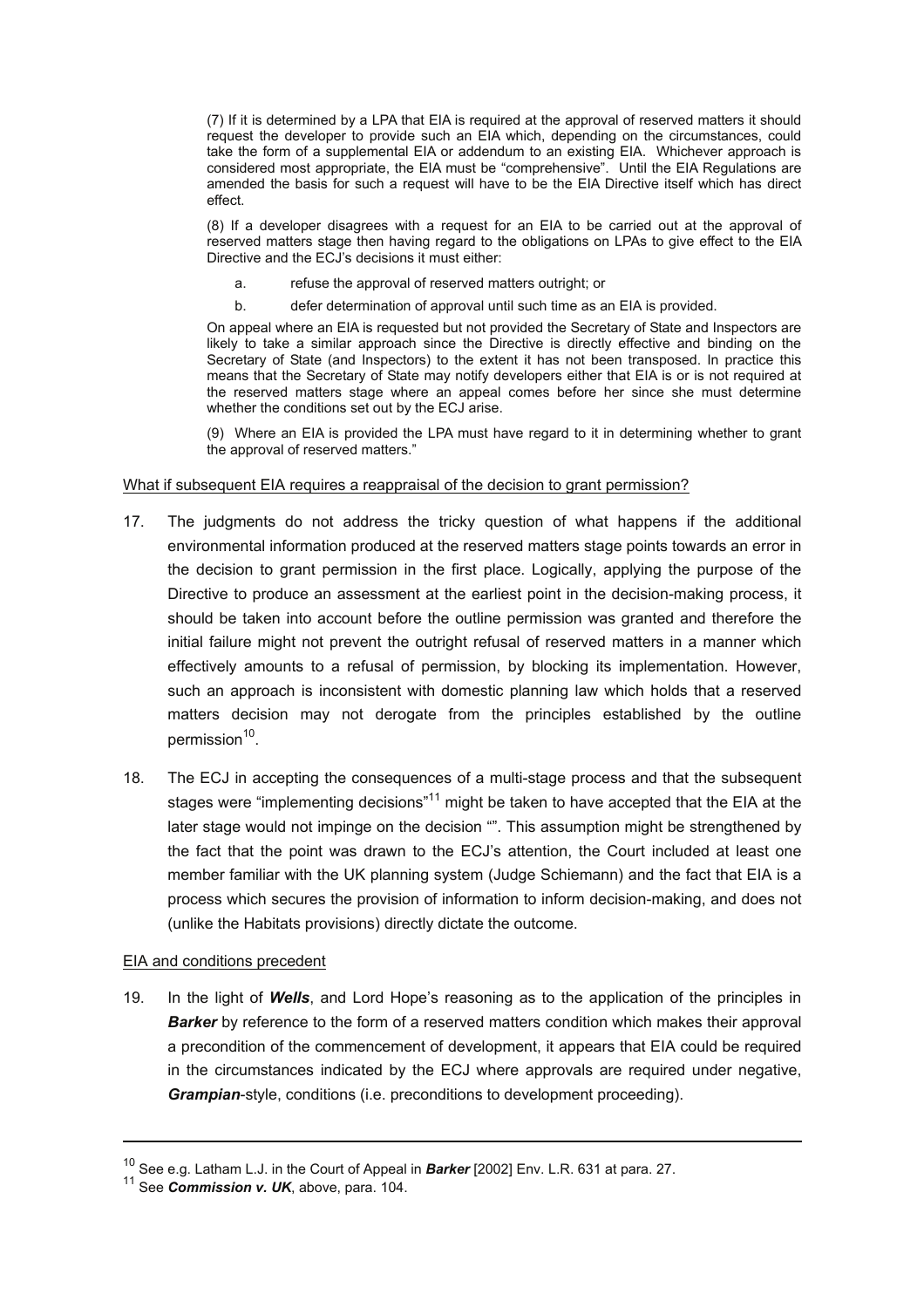(7) If it is determined by a LPA that EIA is required at the approval of reserved matters it should request the developer to provide such an EIA which, depending on the circumstances, could take the form of a supplemental EIA or addendum to an existing EIA. Whichever approach is considered most appropriate, the EIA must be "comprehensive". Until the EIA Regulations are amended the basis for such a request will have to be the EIA Directive itself which has direct effect.

(8) If a developer disagrees with a request for an EIA to be carried out at the approval of reserved matters stage then having regard to the obligations on LPAs to give effect to the EIA Directive and the ECJ's decisions it must either:

- a. refuse the approval of reserved matters outright; or
- b. defer determination of approval until such time as an EIA is provided.

On appeal where an EIA is requested but not provided the Secretary of State and Inspectors are likely to take a similar approach since the Directive is directly effective and binding on the Secretary of State (and Inspectors) to the extent it has not been transposed. In practice this means that the Secretary of State may notify developers either that EIA is or is not required at the reserved matters stage where an appeal comes before her since she must determine whether the conditions set out by the ECJ arise.

(9) Where an EIA is provided the LPA must have regard to it in determining whether to grant the approval of reserved matters."

## What if subsequent EIA requires a reappraisal of the decision to grant permission?

- 17. The judgments do not address the tricky question of what happens if the additional environmental information produced at the reserved matters stage points towards an error in the decision to grant permission in the first place. Logically, applying the purpose of the Directive to produce an assessment at the earliest point in the decision-making process, it should be taken into account before the outline permission was granted and therefore the initial failure might not prevent the outright refusal of reserved matters in a manner which effectively amounts to a refusal of permission, by blocking its implementation. However, such an approach is inconsistent with domestic planning law which holds that a reserved matters decision may not derogate from the principles established by the outline permission<sup>10</sup>.
- 18. The ECJ in accepting the consequences of a multi-stage process and that the subsequent stages were "implementing decisions"<sup>11</sup> might be taken to have accepted that the EIA at the later stage would not impinge on the decision "". This assumption might be strengthened by the fact that the point was drawn to the ECJ's attention, the Court included at least one member familiar with the UK planning system (Judge Schiemann) and the fact that EIA is a process which secures the provision of information to inform decision-making, and does not (unlike the Habitats provisions) directly dictate the outcome.

## EIA and conditions precedent

-

19. In the light of *Wells*, and Lord Hope's reasoning as to the application of the principles in **Barker** by reference to the form of a reserved matters condition which makes their approval a precondition of the commencement of development, it appears that EIA could be required in the circumstances indicated by the ECJ where approvals are required under negative, *Grampian*-style, conditions (i.e. preconditions to development proceeding).

<sup>10</sup> See e.g. Latham L.J. in the Court of Appeal in *Barker* [2002] Env. L.R. 631 at para. 27.

<sup>11</sup> See *Commission v. UK*, above, para. 104.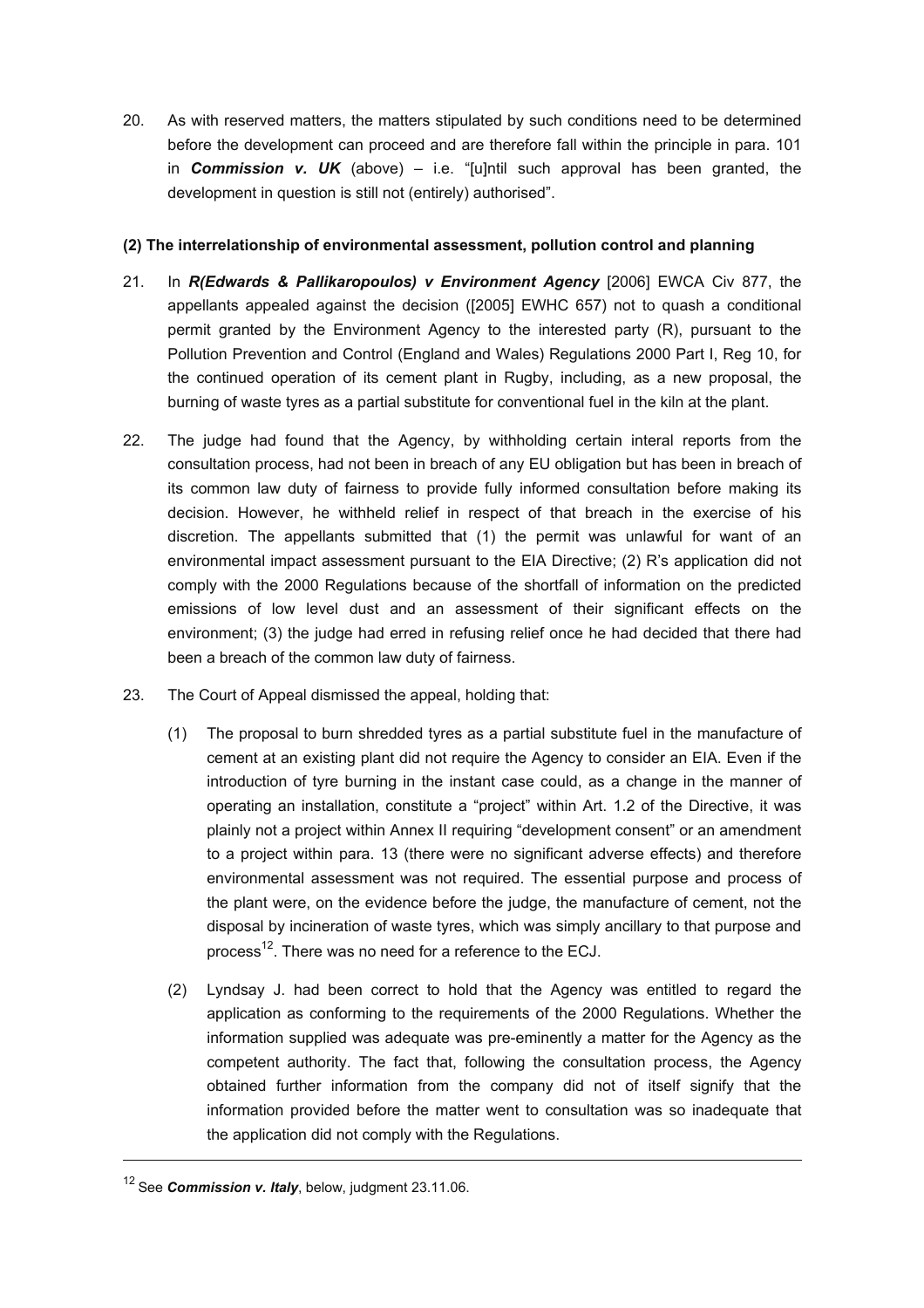20. As with reserved matters, the matters stipulated by such conditions need to be determined before the development can proceed and are therefore fall within the principle in para. 101 in *Commission v. UK* (above) – i.e. "[u]ntil such approval has been granted, the development in question is still not (entirely) authorised".

# **(2) The interrelationship of environmental assessment, pollution control and planning**

- 21. In *R(Edwards & Pallikaropoulos) v Environment Agency* [2006] EWCA Civ 877, the appellants appealed against the decision ([2005] EWHC 657) not to quash a conditional permit granted by the Environment Agency to the interested party (R), pursuant to the Pollution Prevention and Control (England and Wales) Regulations 2000 Part I, Reg 10, for the continued operation of its cement plant in Rugby, including, as a new proposal, the burning of waste tyres as a partial substitute for conventional fuel in the kiln at the plant.
- 22. The judge had found that the Agency, by withholding certain interal reports from the consultation process, had not been in breach of any EU obligation but has been in breach of its common law duty of fairness to provide fully informed consultation before making its decision. However, he withheld relief in respect of that breach in the exercise of his discretion. The appellants submitted that (1) the permit was unlawful for want of an environmental impact assessment pursuant to the EIA Directive; (2) R's application did not comply with the 2000 Regulations because of the shortfall of information on the predicted emissions of low level dust and an assessment of their significant effects on the environment; (3) the judge had erred in refusing relief once he had decided that there had been a breach of the common law duty of fairness.
- 23. The Court of Appeal dismissed the appeal, holding that:
	- (1) The proposal to burn shredded tyres as a partial substitute fuel in the manufacture of cement at an existing plant did not require the Agency to consider an EIA. Even if the introduction of tyre burning in the instant case could, as a change in the manner of operating an installation, constitute a "project" within Art. 1.2 of the Directive, it was plainly not a project within Annex II requiring "development consent" or an amendment to a project within para. 13 (there were no significant adverse effects) and therefore environmental assessment was not required. The essential purpose and process of the plant were, on the evidence before the judge, the manufacture of cement, not the disposal by incineration of waste tyres, which was simply ancillary to that purpose and process<sup>12</sup>. There was no need for a reference to the ECJ.
	- (2) Lyndsay J. had been correct to hold that the Agency was entitled to regard the application as conforming to the requirements of the 2000 Regulations. Whether the information supplied was adequate was pre-eminently a matter for the Agency as the competent authority. The fact that, following the consultation process, the Agency obtained further information from the company did not of itself signify that the information provided before the matter went to consultation was so inadequate that the application did not comply with the Regulations.

<sup>12</sup> See *Commission v. Italy*, below, judgment 23.11.06.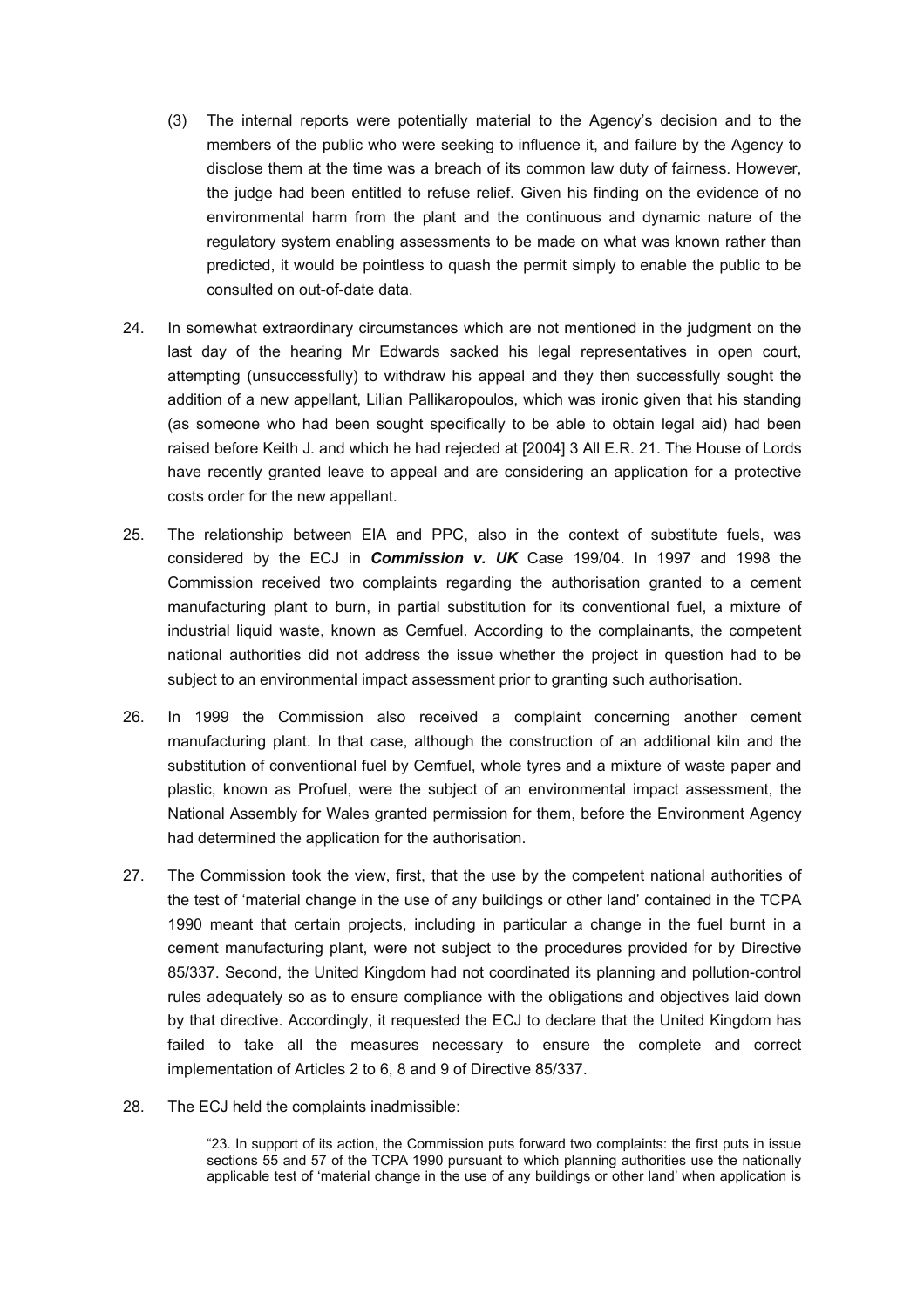- (3) The internal reports were potentially material to the Agency's decision and to the members of the public who were seeking to influence it, and failure by the Agency to disclose them at the time was a breach of its common law duty of fairness. However, the judge had been entitled to refuse relief. Given his finding on the evidence of no environmental harm from the plant and the continuous and dynamic nature of the regulatory system enabling assessments to be made on what was known rather than predicted, it would be pointless to quash the permit simply to enable the public to be consulted on out-of-date data.
- 24. In somewhat extraordinary circumstances which are not mentioned in the judgment on the last day of the hearing Mr Edwards sacked his legal representatives in open court, attempting (unsuccessfully) to withdraw his appeal and they then successfully sought the addition of a new appellant, Lilian Pallikaropoulos, which was ironic given that his standing (as someone who had been sought specifically to be able to obtain legal aid) had been raised before Keith J. and which he had rejected at [2004] 3 All E.R. 21. The House of Lords have recently granted leave to appeal and are considering an application for a protective costs order for the new appellant.
- 25. The relationship between EIA and PPC, also in the context of substitute fuels, was considered by the ECJ in *Commission v. UK* Case 199/04. In 1997 and 1998 the Commission received two complaints regarding the authorisation granted to a cement manufacturing plant to burn, in partial substitution for its conventional fuel, a mixture of industrial liquid waste, known as Cemfuel. According to the complainants, the competent national authorities did not address the issue whether the project in question had to be subject to an environmental impact assessment prior to granting such authorisation.
- 26. In 1999 the Commission also received a complaint concerning another cement manufacturing plant. In that case, although the construction of an additional kiln and the substitution of conventional fuel by Cemfuel, whole tyres and a mixture of waste paper and plastic, known as Profuel, were the subject of an environmental impact assessment, the National Assembly for Wales granted permission for them, before the Environment Agency had determined the application for the authorisation.
- 27. The Commission took the view, first, that the use by the competent national authorities of the test of 'material change in the use of any buildings or other land' contained in the TCPA 1990 meant that certain projects, including in particular a change in the fuel burnt in a cement manufacturing plant, were not subject to the procedures provided for by Directive 85/337. Second, the United Kingdom had not coordinated its planning and pollution-control rules adequately so as to ensure compliance with the obligations and objectives laid down by that directive. Accordingly, it requested the ECJ to declare that the United Kingdom has failed to take all the measures necessary to ensure the complete and correct implementation of Articles 2 to 6, 8 and 9 of Directive 85/337.
- 28. The ECJ held the complaints inadmissible:

"23. In support of its action, the Commission puts forward two complaints: the first puts in issue sections 55 and 57 of the TCPA 1990 pursuant to which planning authorities use the nationally applicable test of 'material change in the use of any buildings or other land' when application is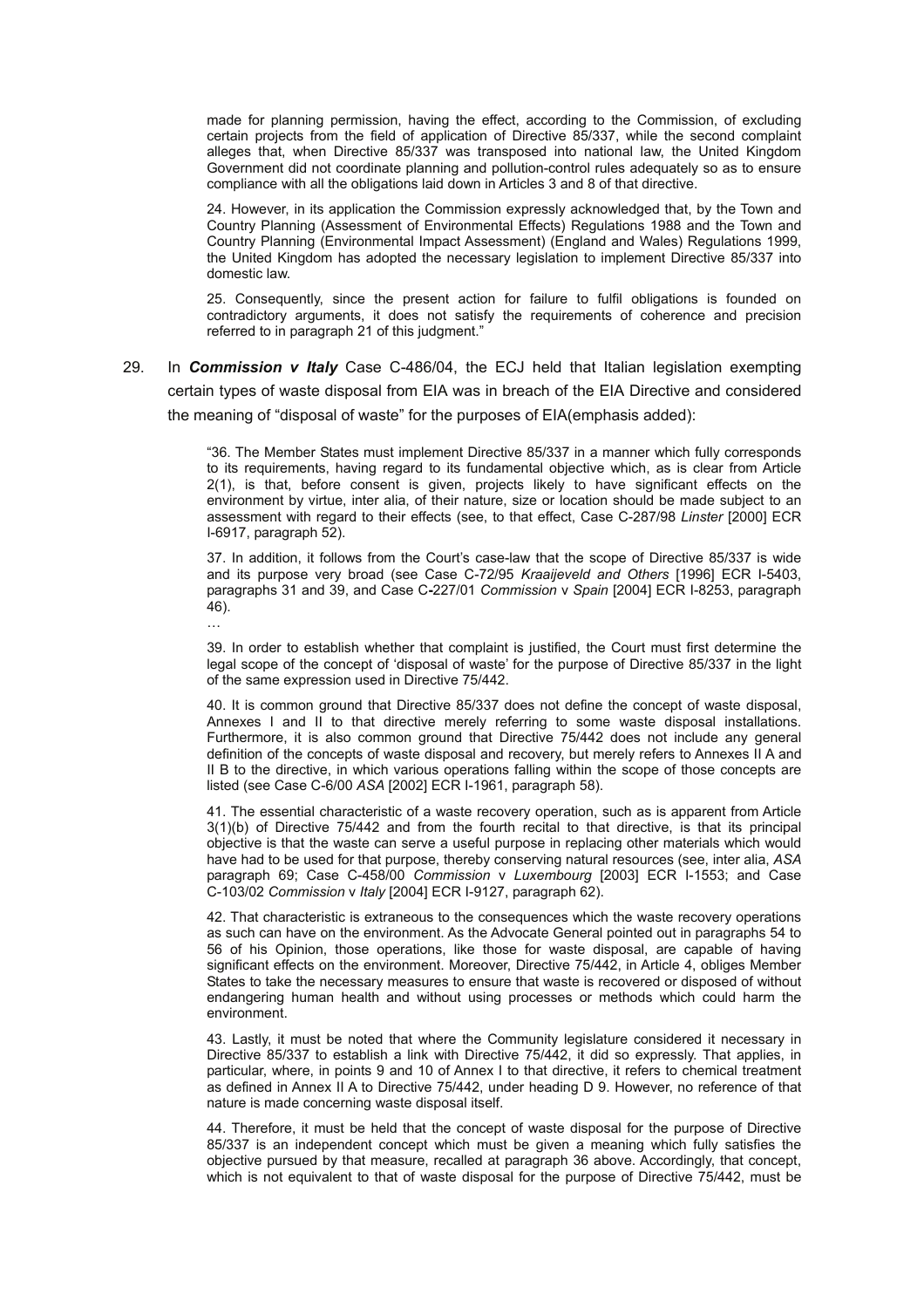made for planning permission, having the effect, according to the Commission, of excluding certain projects from the field of application of Directive 85/337, while the second complaint alleges that, when Directive 85/337 was transposed into national law, the United Kingdom Government did not coordinate planning and pollution-control rules adequately so as to ensure compliance with all the obligations laid down in Articles 3 and 8 of that directive.

24. However, in its application the Commission expressly acknowledged that, by the Town and Country Planning (Assessment of Environmental Effects) Regulations 1988 and the Town and Country Planning (Environmental Impact Assessment) (England and Wales) Regulations 1999, the United Kingdom has adopted the necessary legislation to implement Directive 85/337 into domestic law.

25. Consequently, since the present action for failure to fulfil obligations is founded on contradictory arguments, it does not satisfy the requirements of coherence and precision referred to in paragraph 21 of this judgment."

29. In *Commission v Italy* Case C-486/04, the ECJ held that Italian legislation exempting certain types of waste disposal from EIA was in breach of the EIA Directive and considered the meaning of "disposal of waste" for the purposes of EIA(emphasis added):

> "36. The Member States must implement Directive 85/337 in a manner which fully corresponds to its requirements, having regard to its fundamental objective which, as is clear from Article 2(1), is that, before consent is given, projects likely to have significant effects on the environment by virtue, inter alia, of their nature, size or location should be made subject to an assessment with regard to their effects (see, to that effect, Case C-287/98 *Linster* [2000] ECR I-6917, paragraph 52).

> 37. In addition, it follows from the Court's case-law that the scope of Directive 85/337 is wide and its purpose very broad (see Case C-72/95 *Kraaijeveld and Others* [1996] ECR I-5403, paragraphs 31 and 39, and Case C**-**227/01 *Commission* v *Spain* [2004] ECR I-8253, paragraph 46).

…

39. In order to establish whether that complaint is justified, the Court must first determine the legal scope of the concept of 'disposal of waste' for the purpose of Directive 85/337 in the light of the same expression used in Directive 75/442.

40. It is common ground that Directive 85/337 does not define the concept of waste disposal, Annexes I and II to that directive merely referring to some waste disposal installations. Furthermore, it is also common ground that Directive 75/442 does not include any general definition of the concepts of waste disposal and recovery, but merely refers to Annexes II A and II B to the directive, in which various operations falling within the scope of those concepts are listed (see Case C-6/00 *ASA* [2002] ECR I-1961, paragraph 58).

41. The essential characteristic of a waste recovery operation, such as is apparent from Article 3(1)(b) of Directive 75/442 and from the fourth recital to that directive, is that its principal objective is that the waste can serve a useful purpose in replacing other materials which would have had to be used for that purpose, thereby conserving natural resources (see, inter alia, *ASA* paragraph 69; Case C-458/00 *Commission* v *Luxembourg* [2003] ECR I-1553; and Case C-103/02 *Commission* v *Italy* [2004] ECR I-9127, paragraph 62).

42. That characteristic is extraneous to the consequences which the waste recovery operations as such can have on the environment. As the Advocate General pointed out in paragraphs 54 to 56 of his Opinion, those operations, like those for waste disposal, are capable of having significant effects on the environment. Moreover, Directive 75/442, in Article 4, obliges Member States to take the necessary measures to ensure that waste is recovered or disposed of without endangering human health and without using processes or methods which could harm the environment.

43. Lastly, it must be noted that where the Community legislature considered it necessary in Directive 85/337 to establish a link with Directive 75/442, it did so expressly. That applies, in particular, where, in points 9 and 10 of Annex I to that directive, it refers to chemical treatment as defined in Annex II A to Directive 75/442, under heading D 9. However, no reference of that nature is made concerning waste disposal itself.

44. Therefore, it must be held that the concept of waste disposal for the purpose of Directive 85/337 is an independent concept which must be given a meaning which fully satisfies the objective pursued by that measure, recalled at paragraph 36 above. Accordingly, that concept, which is not equivalent to that of waste disposal for the purpose of Directive 75/442, must be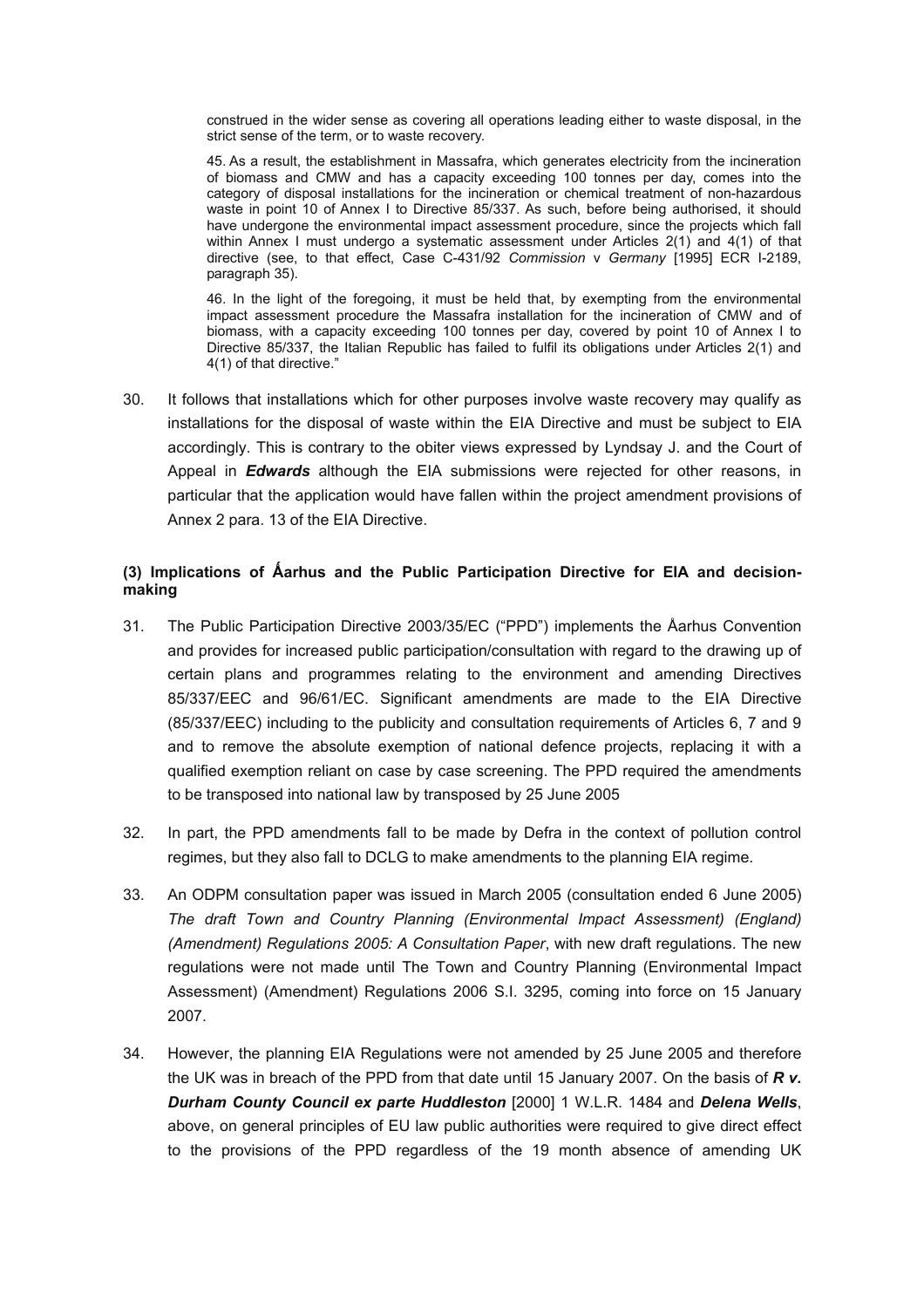construed in the wider sense as covering all operations leading either to waste disposal, in the strict sense of the term, or to waste recovery.

45. As a result, the establishment in Massafra, which generates electricity from the incineration of biomass and CMW and has a capacity exceeding 100 tonnes per day, comes into the category of disposal installations for the incineration or chemical treatment of non-hazardous waste in point 10 of Annex I to Directive 85/337. As such, before being authorised, it should have undergone the environmental impact assessment procedure, since the projects which fall within Annex I must undergo a systematic assessment under Articles 2(1) and 4(1) of that directive (see, to that effect, Case C-431/92 *Commission* v *Germany* [1995] ECR I-2189, paragraph 35).

46. In the light of the foregoing, it must be held that, by exempting from the environmental impact assessment procedure the Massafra installation for the incineration of CMW and of biomass, with a capacity exceeding 100 tonnes per day, covered by point 10 of Annex I to Directive 85/337, the Italian Republic has failed to fulfil its obligations under Articles 2(1) and 4(1) of that directive."

30. It follows that installations which for other purposes involve waste recovery may qualify as installations for the disposal of waste within the EIA Directive and must be subject to EIA accordingly. This is contrary to the obiter views expressed by Lyndsay J. and the Court of Appeal in *Edwards* although the EIA submissions were rejected for other reasons, in particular that the application would have fallen within the project amendment provisions of Annex 2 para. 13 of the EIA Directive.

# (3) Implications of Aarhus and the Public Participation Directive for EIA and decision**making**

- 31. The Public Participation Directive 2003/35/EC ("PPD") implements the Åarhus Convention and provides for increased public participation/consultation with regard to the drawing up of certain plans and programmes relating to the environment and amending Directives 85/337/EEC and 96/61/EC. Significant amendments are made to the EIA Directive (85/337/EEC) including to the publicity and consultation requirements of Articles 6, 7 and 9 and to remove the absolute exemption of national defence projects, replacing it with a qualified exemption reliant on case by case screening. The PPD required the amendments to be transposed into national law by transposed by 25 June 2005
- 32. In part, the PPD amendments fall to be made by Defra in the context of pollution control regimes, but they also fall to DCLG to make amendments to the planning EIA regime.
- 33. An ODPM consultation paper was issued in March 2005 (consultation ended 6 June 2005) *The draft Town and Country Planning (Environmental Impact Assessment) (England) (Amendment) Regulations 2005: A Consultation Paper*, with new draft regulations. The new regulations were not made until The Town and Country Planning (Environmental Impact Assessment) (Amendment) Regulations 2006 S.I. 3295, coming into force on 15 January 2007.
- 34. However, the planning EIA Regulations were not amended by 25 June 2005 and therefore the UK was in breach of the PPD from that date until 15 January 2007. On the basis of *R v. Durham County Council ex parte Huddleston* [2000] 1 W.L.R. 1484 and *Delena Wells*, above, on general principles of EU law public authorities were required to give direct effect to the provisions of the PPD regardless of the 19 month absence of amending UK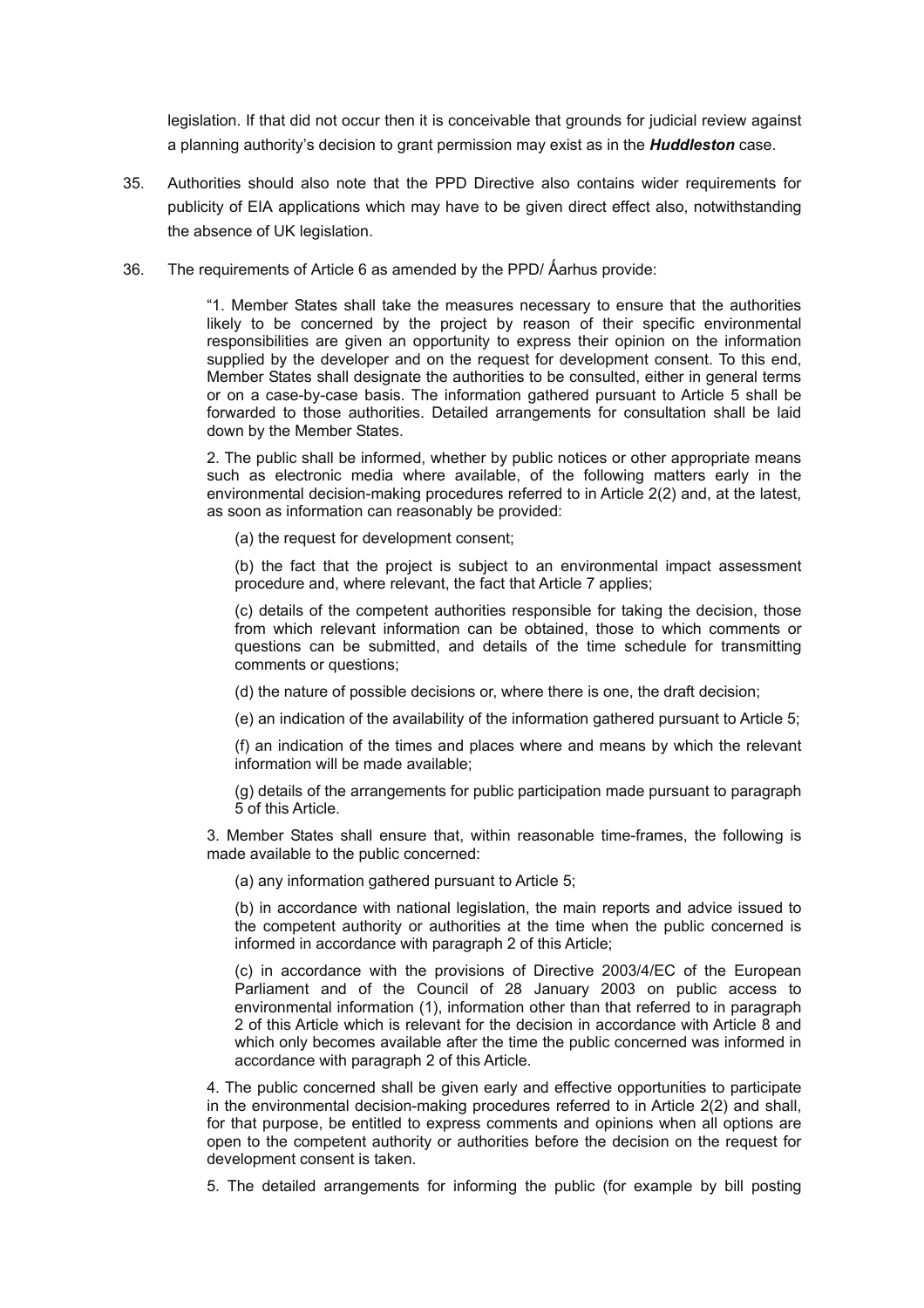legislation. If that did not occur then it is conceivable that grounds for judicial review against a planning authority's decision to grant permission may exist as in the *Huddleston* case.

- 35. Authorities should also note that the PPD Directive also contains wider requirements for publicity of EIA applications which may have to be given direct effect also, notwithstanding the absence of UK legislation.
- 36. The requirements of Article 6 as amended by the PPD/ Aarhus provide:

"1. Member States shall take the measures necessary to ensure that the authorities likely to be concerned by the project by reason of their specific environmental responsibilities are given an opportunity to express their opinion on the information supplied by the developer and on the request for development consent. To this end, Member States shall designate the authorities to be consulted, either in general terms or on a case-by-case basis. The information gathered pursuant to Article 5 shall be forwarded to those authorities. Detailed arrangements for consultation shall be laid down by the Member States.

2. The public shall be informed, whether by public notices or other appropriate means such as electronic media where available, of the following matters early in the environmental decision-making procedures referred to in Article 2(2) and, at the latest, as soon as information can reasonably be provided:

(a) the request for development consent;

(b) the fact that the project is subject to an environmental impact assessment procedure and, where relevant, the fact that Article 7 applies;

(c) details of the competent authorities responsible for taking the decision, those from which relevant information can be obtained, those to which comments or questions can be submitted, and details of the time schedule for transmitting comments or questions;

(d) the nature of possible decisions or, where there is one, the draft decision;

(e) an indication of the availability of the information gathered pursuant to Article 5;

(f) an indication of the times and places where and means by which the relevant information will be made available;

(g) details of the arrangements for public participation made pursuant to paragraph 5 of this Article.

3. Member States shall ensure that, within reasonable time-frames, the following is made available to the public concerned:

(a) any information gathered pursuant to Article 5;

(b) in accordance with national legislation, the main reports and advice issued to the competent authority or authorities at the time when the public concerned is informed in accordance with paragraph 2 of this Article;

(c) in accordance with the provisions of Directive 2003/4/EC of the European Parliament and of the Council of 28 January 2003 on public access to environmental information (1), information other than that referred to in paragraph 2 of this Article which is relevant for the decision in accordance with Article 8 and which only becomes available after the time the public concerned was informed in accordance with paragraph 2 of this Article.

4. The public concerned shall be given early and effective opportunities to participate in the environmental decision-making procedures referred to in Article 2(2) and shall, for that purpose, be entitled to express comments and opinions when all options are open to the competent authority or authorities before the decision on the request for development consent is taken.

5. The detailed arrangements for informing the public (for example by bill posting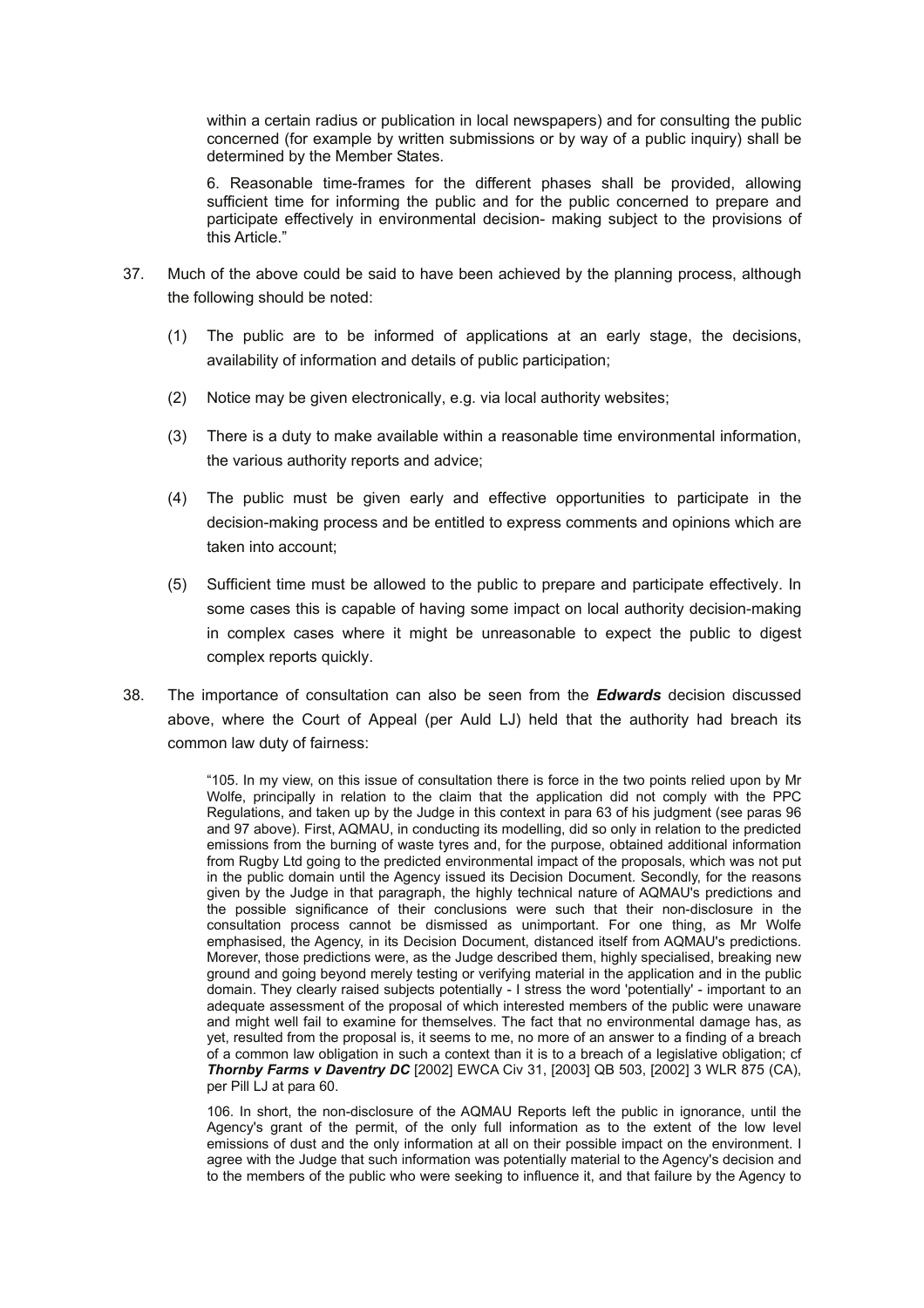within a certain radius or publication in local newspapers) and for consulting the public concerned (for example by written submissions or by way of a public inquiry) shall be determined by the Member States.

6. Reasonable time-frames for the different phases shall be provided, allowing sufficient time for informing the public and for the public concerned to prepare and participate effectively in environmental decision- making subject to the provisions of this Article."

- 37. Much of the above could be said to have been achieved by the planning process, although the following should be noted:
	- (1) The public are to be informed of applications at an early stage, the decisions, availability of information and details of public participation;
	- (2) Notice may be given electronically, e.g. via local authority websites;
	- (3) There is a duty to make available within a reasonable time environmental information, the various authority reports and advice;
	- (4) The public must be given early and effective opportunities to participate in the decision-making process and be entitled to express comments and opinions which are taken into account;
	- (5) Sufficient time must be allowed to the public to prepare and participate effectively. In some cases this is capable of having some impact on local authority decision-making in complex cases where it might be unreasonable to expect the public to digest complex reports quickly.
- 38. The importance of consultation can also be seen from the *Edwards* decision discussed above, where the Court of Appeal (per Auld LJ) held that the authority had breach its common law duty of fairness:

"105. In my view, on this issue of consultation there is force in the two points relied upon by Mr Wolfe, principally in relation to the claim that the application did not comply with the PPC Regulations, and taken up by the Judge in this context in para 63 of his judgment (see paras 96 and 97 above). First, AQMAU, in conducting its modelling, did so only in relation to the predicted emissions from the burning of waste tyres and, for the purpose, obtained additional information from Rugby Ltd going to the predicted environmental impact of the proposals, which was not put in the public domain until the Agency issued its Decision Document. Secondly, for the reasons given by the Judge in that paragraph, the highly technical nature of AQMAU's predictions and the possible significance of their conclusions were such that their non-disclosure in the consultation process cannot be dismissed as unimportant. For one thing, as Mr Wolfe emphasised, the Agency, in its Decision Document, distanced itself from AQMAU's predictions. Morever, those predictions were, as the Judge described them, highly specialised, breaking new ground and going beyond merely testing or verifying material in the application and in the public domain. They clearly raised subjects potentially - I stress the word 'potentially' - important to an adequate assessment of the proposal of which interested members of the public were unaware and might well fail to examine for themselves. The fact that no environmental damage has, as yet, resulted from the proposal is, it seems to me, no more of an answer to a finding of a breach of a common law obligation in such a context than it is to a breach of a legislative obligation; cf *Thornby Farms v Daventry DC* [2002] EWCA Civ 31, [2003] QB 503, [2002] 3 WLR 875 (CA), per Pill LJ at para 60.

106. In short, the non-disclosure of the AQMAU Reports left the public in ignorance, until the Agency's grant of the permit, of the only full information as to the extent of the low level emissions of dust and the only information at all on their possible impact on the environment. I agree with the Judge that such information was potentially material to the Agency's decision and to the members of the public who were seeking to influence it, and that failure by the Agency to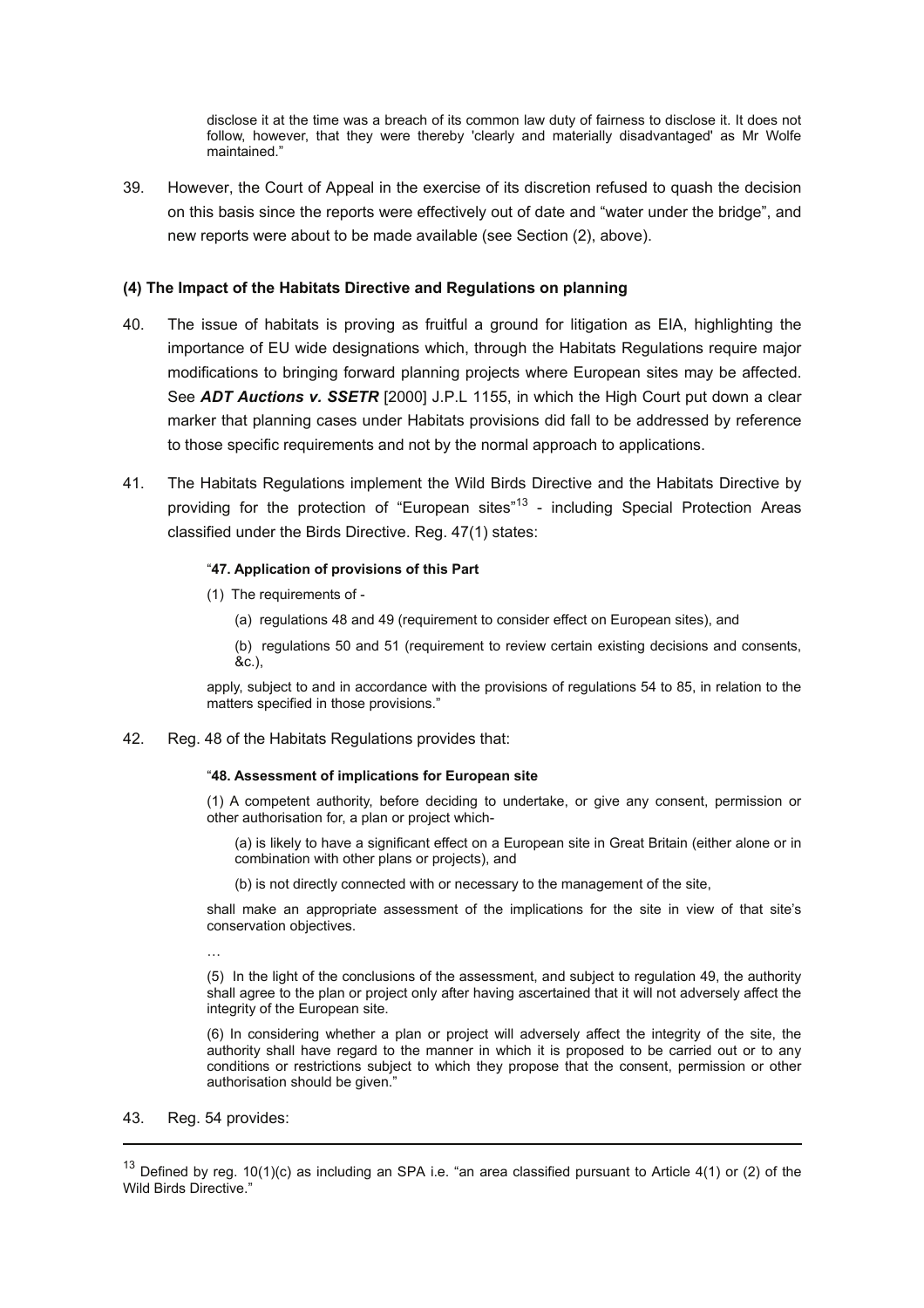disclose it at the time was a breach of its common law duty of fairness to disclose it. It does not follow, however, that they were thereby 'clearly and materially disadvantaged' as Mr Wolfe maintained."

39. However, the Court of Appeal in the exercise of its discretion refused to quash the decision on this basis since the reports were effectively out of date and "water under the bridge", and new reports were about to be made available (see Section (2), above).

#### **(4) The Impact of the Habitats Directive and Regulations on planning**

- 40. The issue of habitats is proving as fruitful a ground for litigation as EIA, highlighting the importance of EU wide designations which, through the Habitats Regulations require major modifications to bringing forward planning projects where European sites may be affected. See *ADT Auctions v. SSETR* [2000] J.P.L 1155, in which the High Court put down a clear marker that planning cases under Habitats provisions did fall to be addressed by reference to those specific requirements and not by the normal approach to applications.
- 41. The Habitats Regulations implement the Wild Birds Directive and the Habitats Directive by providing for the protection of "European sites"<sup>13</sup> - including Special Protection Areas classified under the Birds Directive. Reg. 47(1) states:

#### "**47. Application of provisions of this Part**

- (1) The requirements of
	- (a) regulations 48 and 49 (requirement to consider effect on European sites), and
	- (b) regulations 50 and 51 (requirement to review certain existing decisions and consents, &c.),

apply, subject to and in accordance with the provisions of regulations 54 to 85, in relation to the matters specified in those provisions."

42. Reg. 48 of the Habitats Regulations provides that:

#### "**48. Assessment of implications for European site**

(1) A competent authority, before deciding to undertake, or give any consent, permission or other authorisation for, a plan or project which-

(a) is likely to have a significant effect on a European site in Great Britain (either alone or in combination with other plans or projects), and

(b) is not directly connected with or necessary to the management of the site,

shall make an appropriate assessment of the implications for the site in view of that site's conservation objectives.

…

(5) In the light of the conclusions of the assessment, and subject to regulation 49, the authority shall agree to the plan or project only after having ascertained that it will not adversely affect the integrity of the European site.

(6) In considering whether a plan or project will adversely affect the integrity of the site, the authority shall have regard to the manner in which it is proposed to be carried out or to any conditions or restrictions subject to which they propose that the consent, permission or other authorisation should be given."

43. Reg. 54 provides:

-

 $13$  Defined by reg. 10(1)(c) as including an SPA i.e. "an area classified pursuant to Article 4(1) or (2) of the Wild Birds Directive."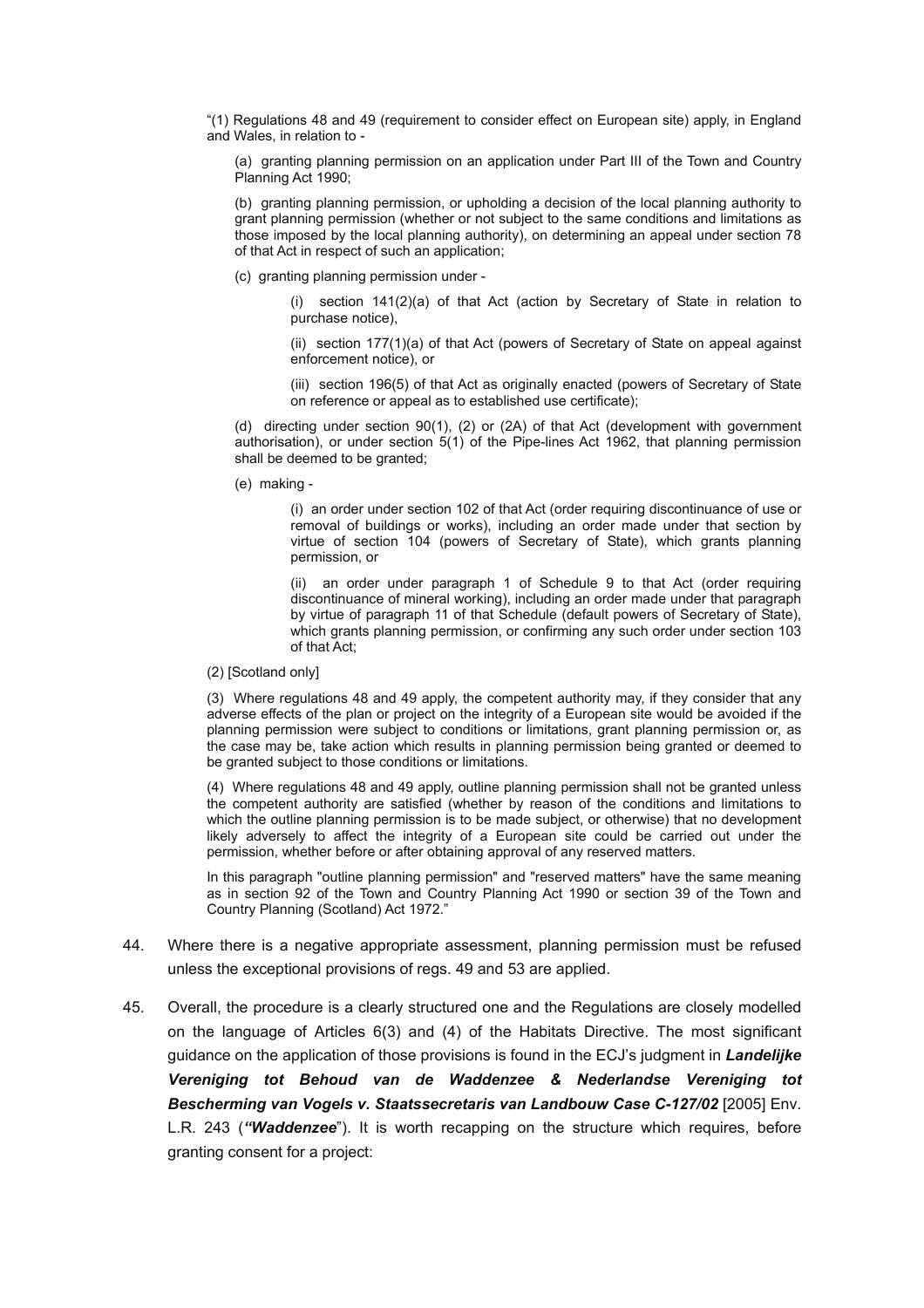"(1) Regulations 48 and 49 (requirement to consider effect on European site) apply, in England and Wales, in relation to -

(a) granting planning permission on an application under Part III of the Town and Country Planning Act 1990;

(b) granting planning permission, or upholding a decision of the local planning authority to grant planning permission (whether or not subject to the same conditions and limitations as those imposed by the local planning authority), on determining an appeal under section 78 of that Act in respect of such an application;

(c) granting planning permission under -

(i) section 141(2)(a) of that Act (action by Secretary of State in relation to purchase notice),

(ii) section 177(1)(a) of that Act (powers of Secretary of State on appeal against enforcement notice), or

(iii) section 196(5) of that Act as originally enacted (powers of Secretary of State on reference or appeal as to established use certificate);

(d) directing under section 90(1), (2) or (2A) of that Act (development with government authorisation), or under section 5(1) of the Pipe-lines Act 1962, that planning permission shall be deemed to be granted;

(e) making -

(i) an order under section 102 of that Act (order requiring discontinuance of use or removal of buildings or works), including an order made under that section by virtue of section 104 (powers of Secretary of State), which grants planning permission, or

(ii) an order under paragraph 1 of Schedule 9 to that Act (order requiring discontinuance of mineral working), including an order made under that paragraph by virtue of paragraph 11 of that Schedule (default powers of Secretary of State), which grants planning permission, or confirming any such order under section 103 of that Act;

(2) [Scotland only]

(3) Where regulations 48 and 49 apply, the competent authority may, if they consider that any adverse effects of the plan or project on the integrity of a European site would be avoided if the planning permission were subject to conditions or limitations, grant planning permission or, as the case may be, take action which results in planning permission being granted or deemed to be granted subject to those conditions or limitations.

(4) Where regulations 48 and 49 apply, outline planning permission shall not be granted unless the competent authority are satisfied (whether by reason of the conditions and limitations to which the outline planning permission is to be made subject, or otherwise) that no development likely adversely to affect the integrity of a European site could be carried out under the permission, whether before or after obtaining approval of any reserved matters.

In this paragraph "outline planning permission" and "reserved matters" have the same meaning as in section 92 of the Town and Country Planning Act 1990 or section 39 of the Town and Country Planning (Scotland) Act 1972."

- 44. Where there is a negative appropriate assessment, planning permission must be refused unless the exceptional provisions of regs. 49 and 53 are applied.
- 45. Overall, the procedure is a clearly structured one and the Regulations are closely modelled on the language of Articles 6(3) and (4) of the Habitats Directive. The most significant guidance on the application of those provisions is found in the ECJ's judgment in *Landelijke Vereniging tot Behoud van de Waddenzee & Nederlandse Vereniging tot Bescherming van Vogels v. Staatssecretaris van Landbouw Case C-127/02* [2005] Env. L.R. 243 (*"Waddenzee*"). It is worth recapping on the structure which requires, before granting consent for a project: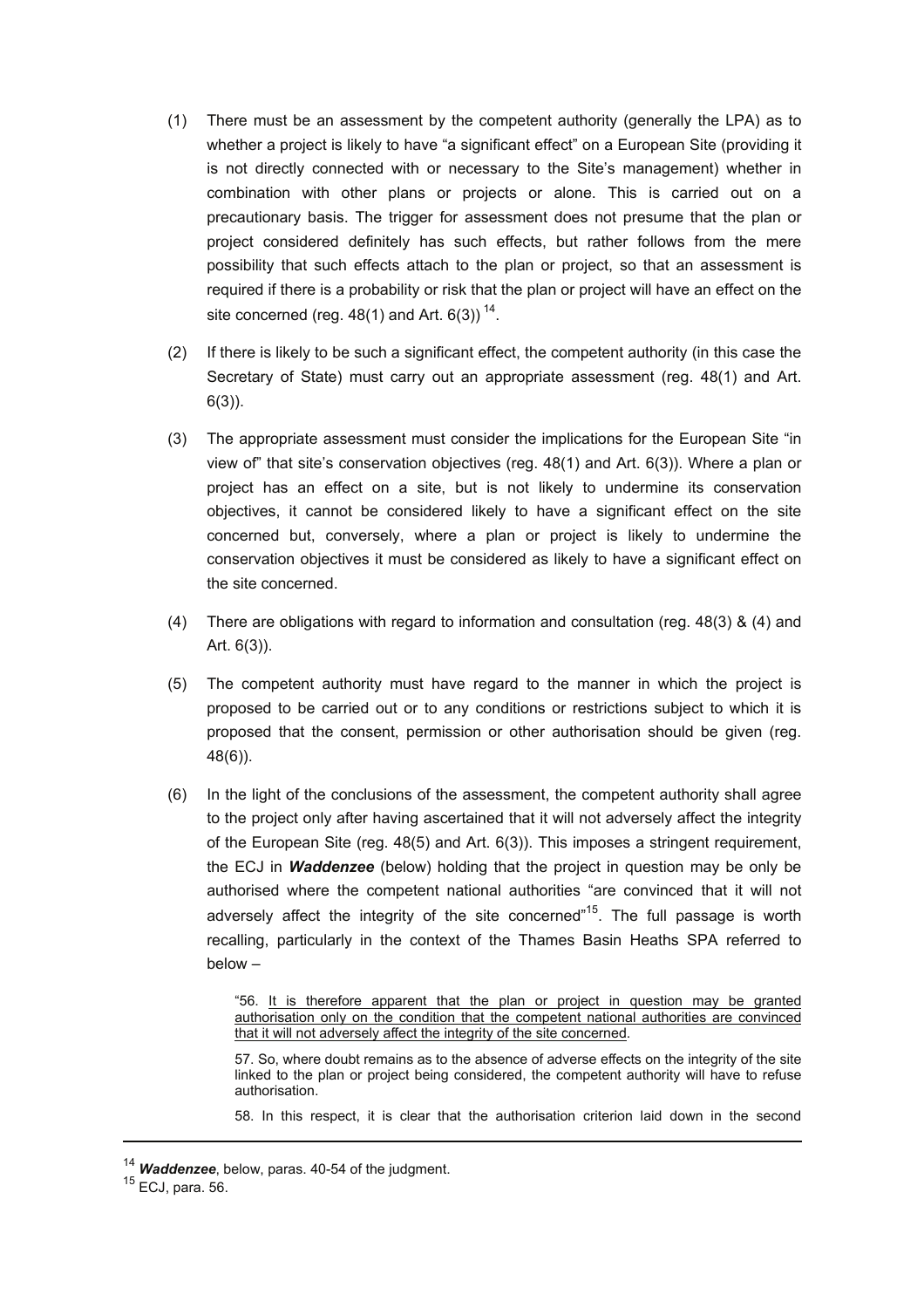- (1) There must be an assessment by the competent authority (generally the LPA) as to whether a project is likely to have "a significant effect" on a European Site (providing it is not directly connected with or necessary to the Site's management) whether in combination with other plans or projects or alone. This is carried out on a precautionary basis. The trigger for assessment does not presume that the plan or project considered definitely has such effects, but rather follows from the mere possibility that such effects attach to the plan or project, so that an assessment is required if there is a probability or risk that the plan or project will have an effect on the site concerned (reg. 48(1) and Art.  $6(3)$ )<sup>14</sup>.
- (2) If there is likely to be such a significant effect, the competent authority (in this case the Secretary of State) must carry out an appropriate assessment (reg. 48(1) and Art. 6(3)).
- (3) The appropriate assessment must consider the implications for the European Site "in view of" that site's conservation objectives (reg. 48(1) and Art. 6(3)). Where a plan or project has an effect on a site, but is not likely to undermine its conservation objectives, it cannot be considered likely to have a significant effect on the site concerned but, conversely, where a plan or project is likely to undermine the conservation objectives it must be considered as likely to have a significant effect on the site concerned.
- (4) There are obligations with regard to information and consultation (reg. 48(3) & (4) and Art. 6(3)).
- (5) The competent authority must have regard to the manner in which the project is proposed to be carried out or to any conditions or restrictions subject to which it is proposed that the consent, permission or other authorisation should be given (reg. 48(6)).
- (6) In the light of the conclusions of the assessment, the competent authority shall agree to the project only after having ascertained that it will not adversely affect the integrity of the European Site (reg. 48(5) and Art. 6(3)). This imposes a stringent requirement, the ECJ in *Waddenzee* (below) holding that the project in question may be only be authorised where the competent national authorities "are convinced that it will not adversely affect the integrity of the site concerned<sup> $n^{15}$ </sup>. The full passage is worth recalling, particularly in the context of the Thames Basin Heaths SPA referred to below –

"56. It is therefore apparent that the plan or project in question may be granted authorisation only on the condition that the competent national authorities are convinced that it will not adversely affect the integrity of the site concerned.

57. So, where doubt remains as to the absence of adverse effects on the integrity of the site linked to the plan or project being considered, the competent authority will have to refuse authorisation.

58. In this respect, it is clear that the authorisation criterion laid down in the second

-

<sup>14</sup> *Waddenzee*, below, paras. 40-54 of the judgment.

 $15$  ECJ, para. 56.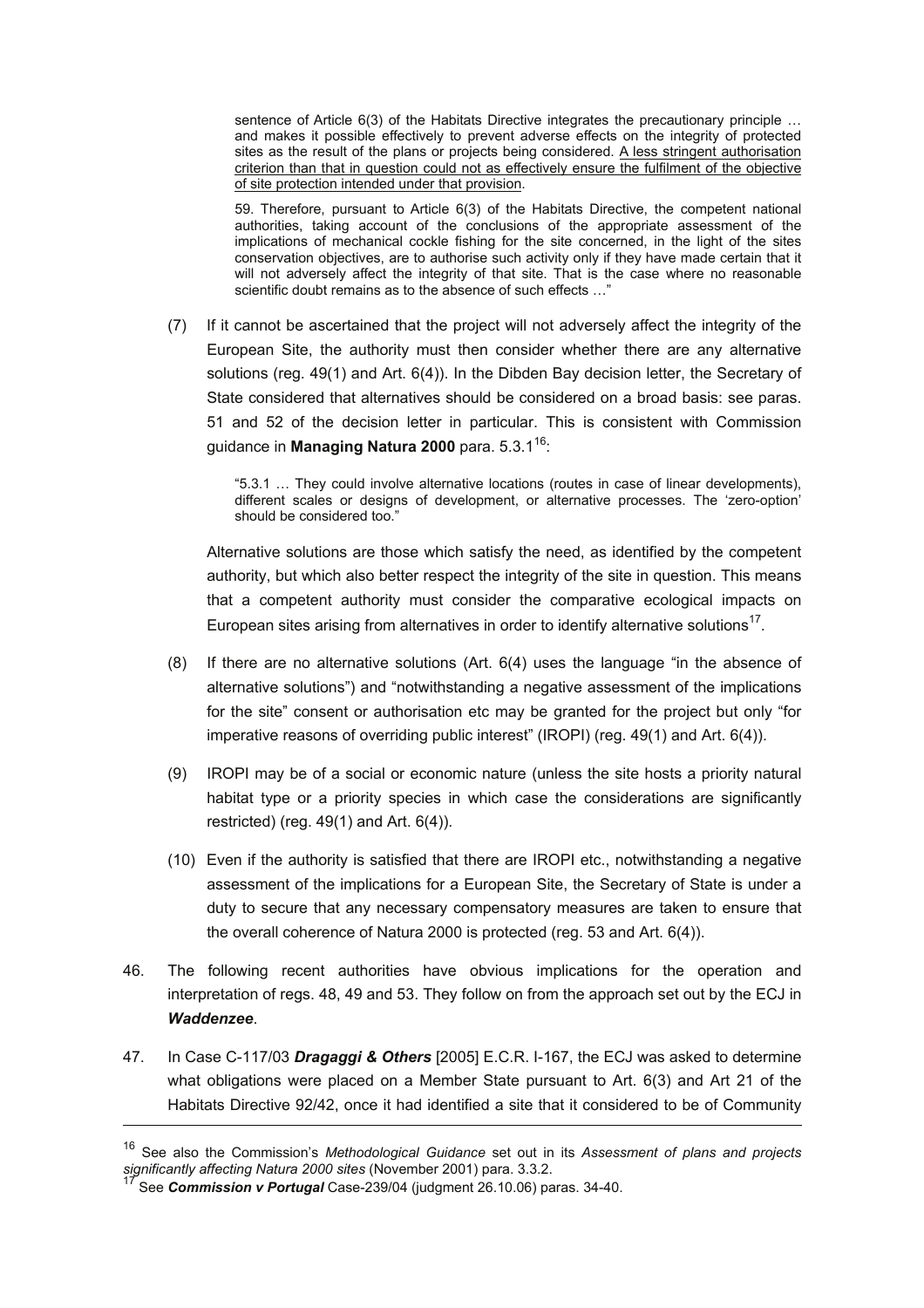sentence of Article 6(3) of the Habitats Directive integrates the precautionary principle ... and makes it possible effectively to prevent adverse effects on the integrity of protected sites as the result of the plans or projects being considered. A less stringent authorisation criterion than that in question could not as effectively ensure the fulfilment of the objective of site protection intended under that provision.

59. Therefore, pursuant to Article 6(3) of the Habitats Directive, the competent national authorities, taking account of the conclusions of the appropriate assessment of the implications of mechanical cockle fishing for the site concerned, in the light of the sites conservation objectives, are to authorise such activity only if they have made certain that it will not adversely affect the integrity of that site. That is the case where no reasonable scientific doubt remains as to the absence of such effects …"

(7) If it cannot be ascertained that the project will not adversely affect the integrity of the European Site, the authority must then consider whether there are any alternative solutions (reg. 49(1) and Art. 6(4)). In the Dibden Bay decision letter, the Secretary of State considered that alternatives should be considered on a broad basis: see paras. 51 and 52 of the decision letter in particular. This is consistent with Commission guidance in **Managing Natura 2000** para. 5.3.1<sup>16</sup>:

> "5.3.1 … They could involve alternative locations (routes in case of linear developments), different scales or designs of development, or alternative processes. The 'zero-option' should be considered too."

Alternative solutions are those which satisfy the need, as identified by the competent authority, but which also better respect the integrity of the site in question. This means that a competent authority must consider the comparative ecological impacts on European sites arising from alternatives in order to identify alternative solutions<sup>17</sup>.

- (8) If there are no alternative solutions (Art. 6(4) uses the language "in the absence of alternative solutions") and "notwithstanding a negative assessment of the implications for the site" consent or authorisation etc may be granted for the project but only "for imperative reasons of overriding public interest" (IROPI) (reg. 49(1) and Art. 6(4)).
- (9) IROPI may be of a social or economic nature (unless the site hosts a priority natural habitat type or a priority species in which case the considerations are significantly restricted) (reg.  $49(1)$  and Art.  $6(4)$ ).
- (10) Even if the authority is satisfied that there are IROPI etc., notwithstanding a negative assessment of the implications for a European Site, the Secretary of State is under a duty to secure that any necessary compensatory measures are taken to ensure that the overall coherence of Natura 2000 is protected (reg. 53 and Art. 6(4)).
- 46. The following recent authorities have obvious implications for the operation and interpretation of regs. 48, 49 and 53. They follow on from the approach set out by the ECJ in *Waddenzee*.
- 47. In Case C-117/03 *Dragaggi & Others* [2005] E.C.R. I-167, the ECJ was asked to determine what obligations were placed on a Member State pursuant to Art. 6(3) and Art 21 of the Habitats Directive 92/42, once it had identified a site that it considered to be of Community

<sup>16</sup> See also the Commission's *Methodological Guidance* set out in its *Assessment of plans and projects* 

See *Commission v Portugal* Case-239/04 (judgment 26.10.06) paras. 34-40.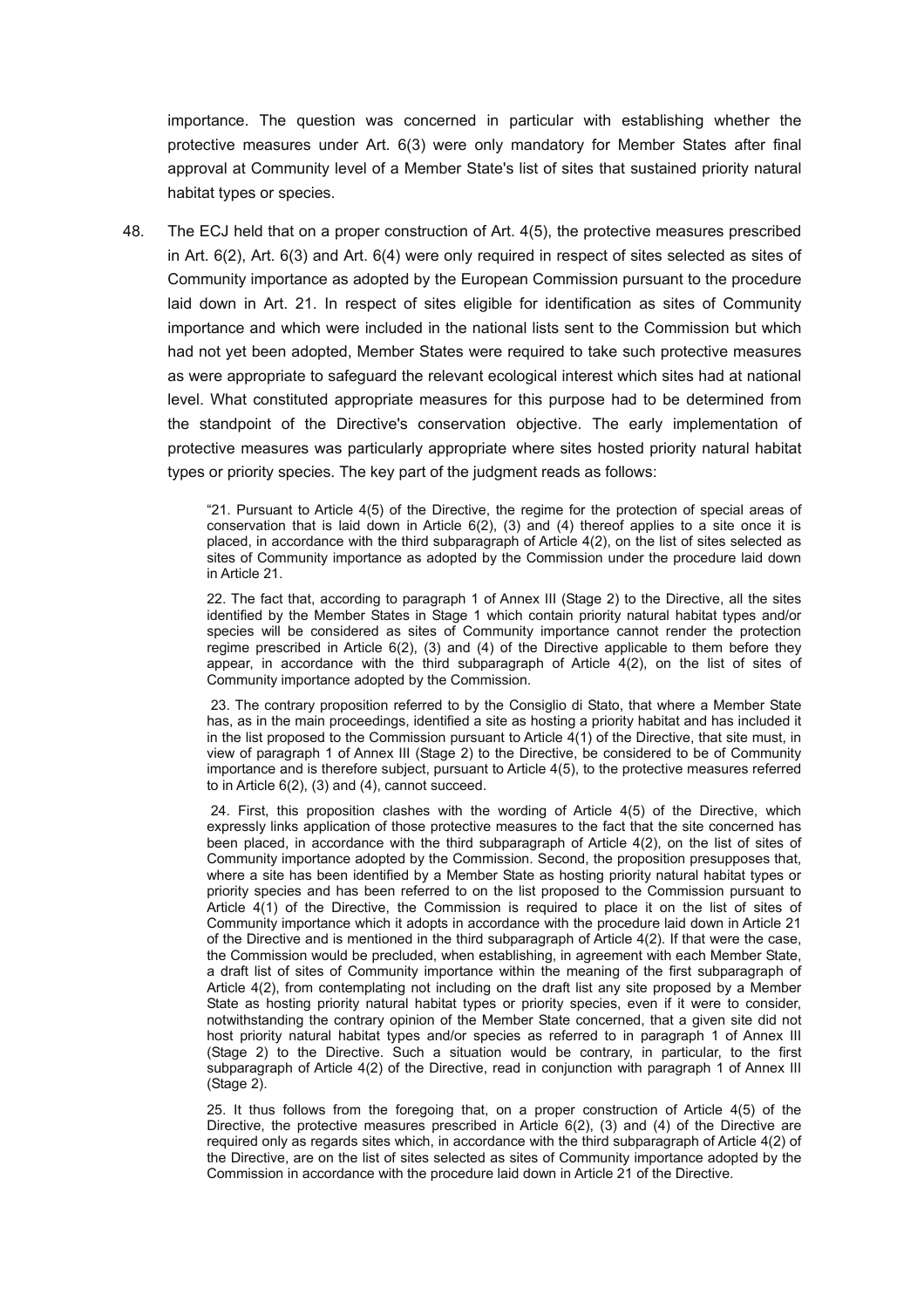importance. The question was concerned in particular with establishing whether the protective measures under Art. 6(3) were only mandatory for Member States after final approval at Community level of a Member State's list of sites that sustained priority natural habitat types or species.

48. The ECJ held that on a proper construction of Art. 4(5), the protective measures prescribed in Art. 6(2), Art. 6(3) and Art. 6(4) were only required in respect of sites selected as sites of Community importance as adopted by the European Commission pursuant to the procedure laid down in Art. 21. In respect of sites eligible for identification as sites of Community importance and which were included in the national lists sent to the Commission but which had not yet been adopted, Member States were required to take such protective measures as were appropriate to safeguard the relevant ecological interest which sites had at national level. What constituted appropriate measures for this purpose had to be determined from the standpoint of the Directive's conservation objective. The early implementation of protective measures was particularly appropriate where sites hosted priority natural habitat types or priority species. The key part of the judgment reads as follows:

> "21. Pursuant to Article 4(5) of the Directive, the regime for the protection of special areas of conservation that is laid down in Article  $6(2)$ ,  $(3)$  and  $(4)$  thereof applies to a site once it is placed, in accordance with the third subparagraph of Article 4(2), on the list of sites selected as sites of Community importance as adopted by the Commission under the procedure laid down in Article 21.

> 22. The fact that, according to paragraph 1 of Annex III (Stage 2) to the Directive, all the sites identified by the Member States in Stage 1 which contain priority natural habitat types and/or species will be considered as sites of Community importance cannot render the protection regime prescribed in Article 6(2), (3) and (4) of the Directive applicable to them before they appear, in accordance with the third subparagraph of Article 4(2), on the list of sites of Community importance adopted by the Commission.

> 23. The contrary proposition referred to by the Consiglio di Stato, that where a Member State has, as in the main proceedings, identified a site as hosting a priority habitat and has included it in the list proposed to the Commission pursuant to Article 4(1) of the Directive, that site must, in view of paragraph 1 of Annex III (Stage 2) to the Directive, be considered to be of Community importance and is therefore subject, pursuant to Article 4(5), to the protective measures referred to in Article 6(2), (3) and (4), cannot succeed.

> 24. First, this proposition clashes with the wording of Article 4(5) of the Directive, which expressly links application of those protective measures to the fact that the site concerned has been placed, in accordance with the third subparagraph of Article 4(2), on the list of sites of Community importance adopted by the Commission. Second, the proposition presupposes that, where a site has been identified by a Member State as hosting priority natural habitat types or priority species and has been referred to on the list proposed to the Commission pursuant to Article 4(1) of the Directive, the Commission is required to place it on the list of sites of Community importance which it adopts in accordance with the procedure laid down in Article 21 of the Directive and is mentioned in the third subparagraph of Article 4(2). If that were the case, the Commission would be precluded, when establishing, in agreement with each Member State, a draft list of sites of Community importance within the meaning of the first subparagraph of Article 4(2), from contemplating not including on the draft list any site proposed by a Member State as hosting priority natural habitat types or priority species, even if it were to consider, notwithstanding the contrary opinion of the Member State concerned, that a given site did not host priority natural habitat types and/or species as referred to in paragraph 1 of Annex III (Stage 2) to the Directive. Such a situation would be contrary, in particular, to the first subparagraph of Article 4(2) of the Directive, read in conjunction with paragraph 1 of Annex III (Stage 2).

> 25. It thus follows from the foregoing that, on a proper construction of Article 4(5) of the Directive, the protective measures prescribed in Article 6(2), (3) and (4) of the Directive are required only as regards sites which, in accordance with the third subparagraph of Article 4(2) of the Directive, are on the list of sites selected as sites of Community importance adopted by the Commission in accordance with the procedure laid down in Article 21 of the Directive.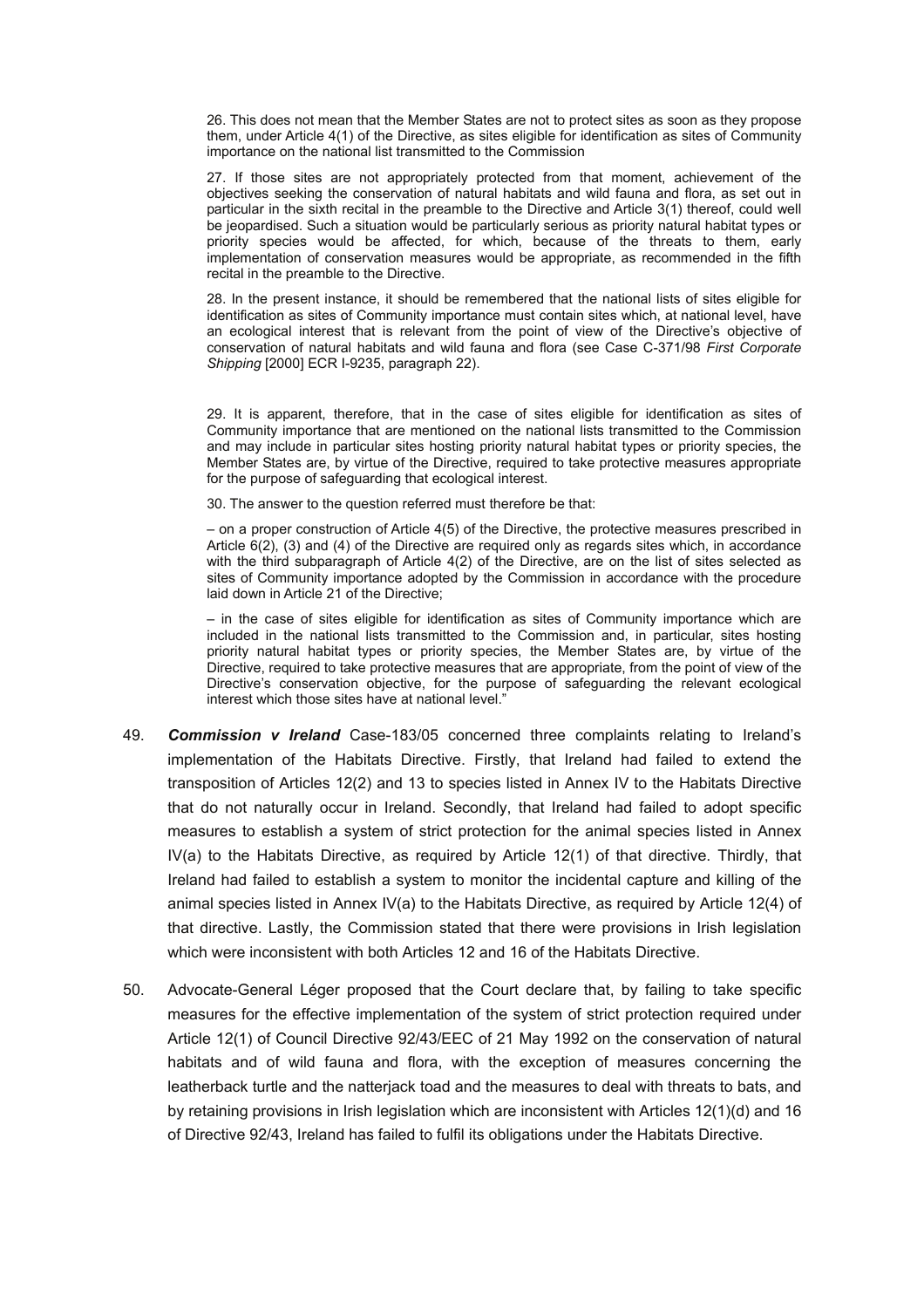26. This does not mean that the Member States are not to protect sites as soon as they propose them, under Article 4(1) of the Directive, as sites eligible for identification as sites of Community importance on the national list transmitted to the Commission

27. If those sites are not appropriately protected from that moment, achievement of the objectives seeking the conservation of natural habitats and wild fauna and flora, as set out in particular in the sixth recital in the preamble to the Directive and Article 3(1) thereof, could well be jeopardised. Such a situation would be particularly serious as priority natural habitat types or priority species would be affected, for which, because of the threats to them, early implementation of conservation measures would be appropriate, as recommended in the fifth recital in the preamble to the Directive.

28. In the present instance, it should be remembered that the national lists of sites eligible for identification as sites of Community importance must contain sites which, at national level, have an ecological interest that is relevant from the point of view of the Directive's objective of conservation of natural habitats and wild fauna and flora (see Case C-371/98 *First Corporate Shipping* [2000] ECR I-9235, paragraph 22).

29. It is apparent, therefore, that in the case of sites eligible for identification as sites of Community importance that are mentioned on the national lists transmitted to the Commission and may include in particular sites hosting priority natural habitat types or priority species, the Member States are, by virtue of the Directive, required to take protective measures appropriate for the purpose of safeguarding that ecological interest.

30. The answer to the question referred must therefore be that:

– on a proper construction of Article 4(5) of the Directive, the protective measures prescribed in Article 6(2), (3) and (4) of the Directive are required only as regards sites which, in accordance with the third subparagraph of Article 4(2) of the Directive, are on the list of sites selected as sites of Community importance adopted by the Commission in accordance with the procedure laid down in Article 21 of the Directive;

– in the case of sites eligible for identification as sites of Community importance which are included in the national lists transmitted to the Commission and, in particular, sites hosting priority natural habitat types or priority species, the Member States are, by virtue of the Directive, required to take protective measures that are appropriate, from the point of view of the Directive's conservation objective, for the purpose of safeguarding the relevant ecological interest which those sites have at national level."

- 49. *Commission v Ireland* Case-183/05 concerned three complaints relating to Ireland's implementation of the Habitats Directive. Firstly, that Ireland had failed to extend the transposition of Articles 12(2) and 13 to species listed in Annex IV to the Habitats Directive that do not naturally occur in Ireland. Secondly, that Ireland had failed to adopt specific measures to establish a system of strict protection for the animal species listed in Annex IV(a) to the Habitats Directive, as required by Article 12(1) of that directive. Thirdly, that Ireland had failed to establish a system to monitor the incidental capture and killing of the animal species listed in Annex IV(a) to the Habitats Directive, as required by Article 12(4) of that directive. Lastly, the Commission stated that there were provisions in Irish legislation which were inconsistent with both Articles 12 and 16 of the Habitats Directive.
- 50. Advocate-General Léger proposed that the Court declare that, by failing to take specific measures for the effective implementation of the system of strict protection required under Article 12(1) of Council Directive 92/43/EEC of 21 May 1992 on the conservation of natural habitats and of wild fauna and flora, with the exception of measures concerning the leatherback turtle and the natterjack toad and the measures to deal with threats to bats, and by retaining provisions in Irish legislation which are inconsistent with Articles 12(1)(d) and 16 of Directive 92/43, Ireland has failed to fulfil its obligations under the Habitats Directive.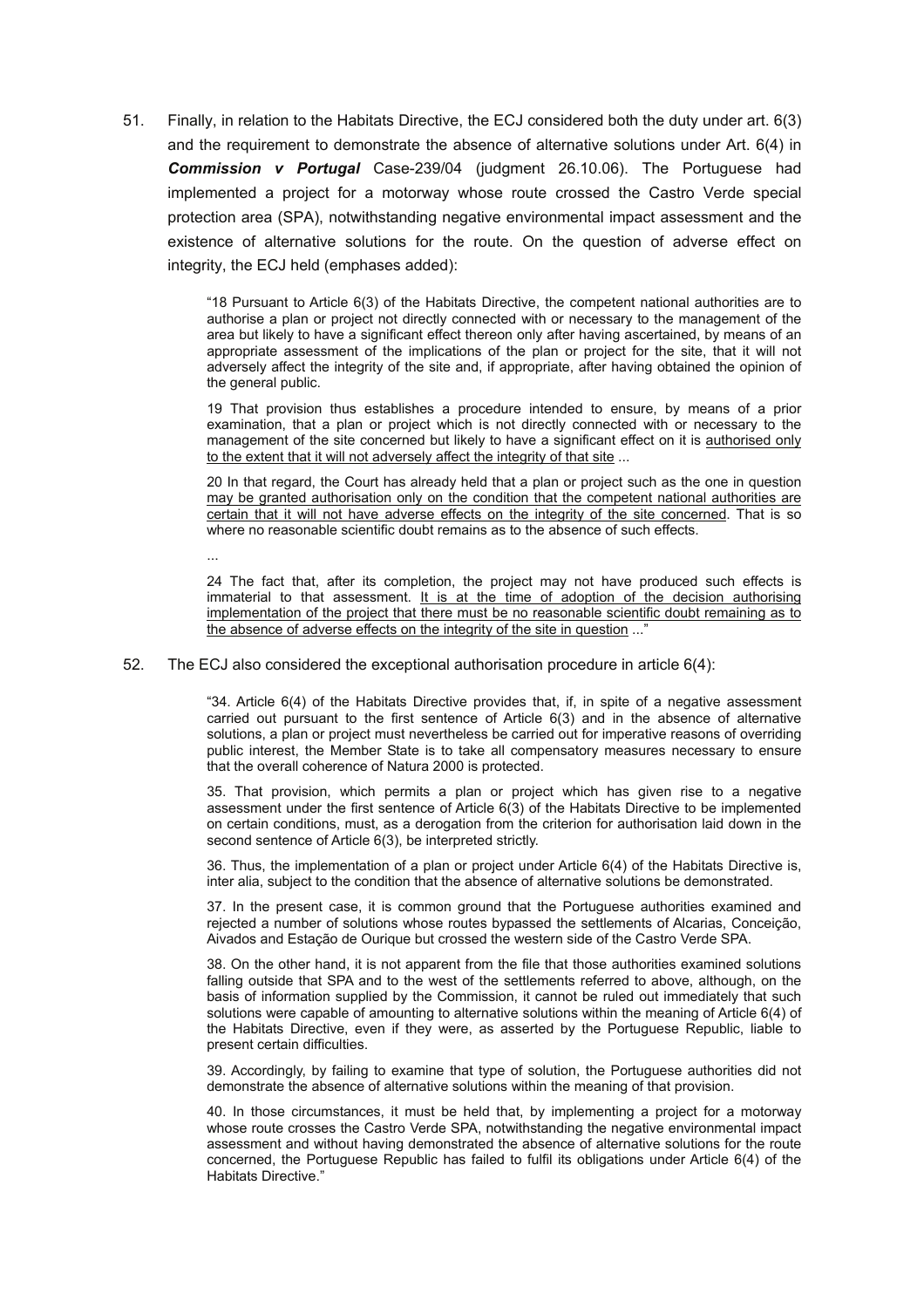51. Finally, in relation to the Habitats Directive, the ECJ considered both the duty under art. 6(3) and the requirement to demonstrate the absence of alternative solutions under Art. 6(4) in *Commission v Portugal* Case-239/04 (judgment 26.10.06). The Portuguese had implemented a project for a motorway whose route crossed the Castro Verde special protection area (SPA), notwithstanding negative environmental impact assessment and the existence of alternative solutions for the route. On the question of adverse effect on integrity, the ECJ held (emphases added):

> "18 Pursuant to Article 6(3) of the Habitats Directive, the competent national authorities are to authorise a plan or project not directly connected with or necessary to the management of the area but likely to have a significant effect thereon only after having ascertained, by means of an appropriate assessment of the implications of the plan or project for the site, that it will not adversely affect the integrity of the site and, if appropriate, after having obtained the opinion of the general public.

> 19 That provision thus establishes a procedure intended to ensure, by means of a prior examination, that a plan or project which is not directly connected with or necessary to the management of the site concerned but likely to have a significant effect on it is authorised only to the extent that it will not adversely affect the integrity of that site ...

> 20 In that regard, the Court has already held that a plan or project such as the one in question may be granted authorisation only on the condition that the competent national authorities are certain that it will not have adverse effects on the integrity of the site concerned. That is so where no reasonable scientific doubt remains as to the absence of such effects.

...

24 The fact that, after its completion, the project may not have produced such effects is immaterial to that assessment. It is at the time of adoption of the decision authorising implementation of the project that there must be no reasonable scientific doubt remaining as to the absence of adverse effects on the integrity of the site in question ..."

52. The ECJ also considered the exceptional authorisation procedure in article 6(4):

"34. Article 6(4) of the Habitats Directive provides that, if, in spite of a negative assessment carried out pursuant to the first sentence of Article 6(3) and in the absence of alternative solutions, a plan or project must nevertheless be carried out for imperative reasons of overriding public interest, the Member State is to take all compensatory measures necessary to ensure that the overall coherence of Natura 2000 is protected.

35. That provision, which permits a plan or project which has given rise to a negative assessment under the first sentence of Article 6(3) of the Habitats Directive to be implemented on certain conditions, must, as a derogation from the criterion for authorisation laid down in the second sentence of Article 6(3), be interpreted strictly.

36. Thus, the implementation of a plan or project under Article 6(4) of the Habitats Directive is, inter alia, subject to the condition that the absence of alternative solutions be demonstrated.

37. In the present case, it is common ground that the Portuguese authorities examined and rejected a number of solutions whose routes bypassed the settlements of Alcarias, Conceição, Aivados and Estação de Ourique but crossed the western side of the Castro Verde SPA.

38. On the other hand, it is not apparent from the file that those authorities examined solutions falling outside that SPA and to the west of the settlements referred to above, although, on the basis of information supplied by the Commission, it cannot be ruled out immediately that such solutions were capable of amounting to alternative solutions within the meaning of Article 6(4) of the Habitats Directive, even if they were, as asserted by the Portuguese Republic, liable to present certain difficulties.

39. Accordingly, by failing to examine that type of solution, the Portuguese authorities did not demonstrate the absence of alternative solutions within the meaning of that provision.

40. In those circumstances, it must be held that, by implementing a project for a motorway whose route crosses the Castro Verde SPA, notwithstanding the negative environmental impact assessment and without having demonstrated the absence of alternative solutions for the route concerned, the Portuguese Republic has failed to fulfil its obligations under Article 6(4) of the Habitats Directive."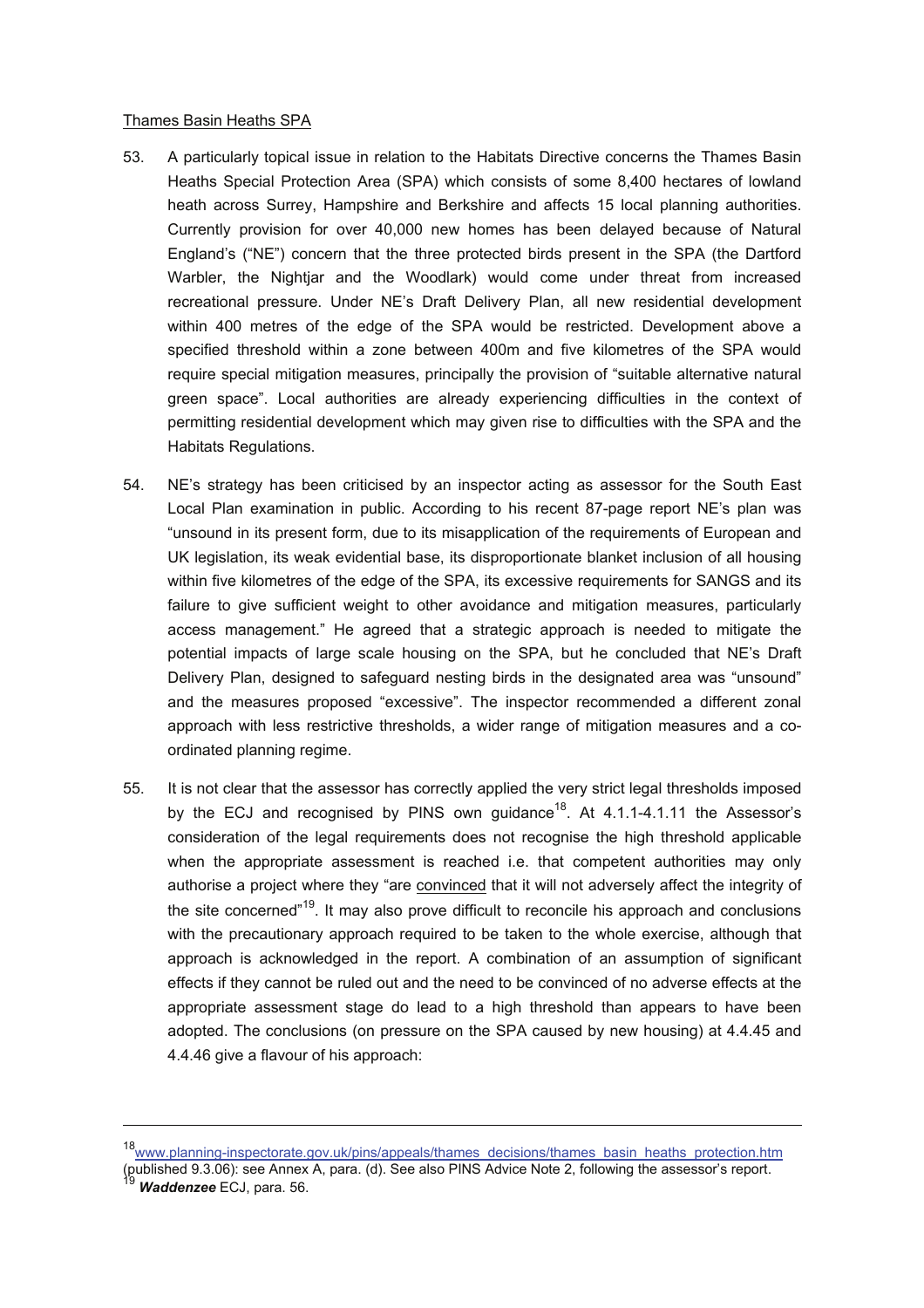#### Thames Basin Heaths SPA

- 53. A particularly topical issue in relation to the Habitats Directive concerns the Thames Basin Heaths Special Protection Area (SPA) which consists of some 8,400 hectares of lowland heath across Surrey, Hampshire and Berkshire and affects 15 local planning authorities. Currently provision for over 40,000 new homes has been delayed because of Natural England's ("NE") concern that the three protected birds present in the SPA (the Dartford Warbler, the Nightjar and the Woodlark) would come under threat from increased recreational pressure. Under NE's Draft Delivery Plan, all new residential development within 400 metres of the edge of the SPA would be restricted. Development above a specified threshold within a zone between 400m and five kilometres of the SPA would require special mitigation measures, principally the provision of "suitable alternative natural green space". Local authorities are already experiencing difficulties in the context of permitting residential development which may given rise to difficulties with the SPA and the Habitats Regulations.
- 54. NE's strategy has been criticised by an inspector acting as assessor for the South East Local Plan examination in public. According to his recent 87-page report NE's plan was "unsound in its present form, due to its misapplication of the requirements of European and UK legislation, its weak evidential base, its disproportionate blanket inclusion of all housing within five kilometres of the edge of the SPA, its excessive requirements for SANGS and its failure to give sufficient weight to other avoidance and mitigation measures, particularly access management." He agreed that a strategic approach is needed to mitigate the potential impacts of large scale housing on the SPA, but he concluded that NE's Draft Delivery Plan, designed to safeguard nesting birds in the designated area was "unsound" and the measures proposed "excessive". The inspector recommended a different zonal approach with less restrictive thresholds, a wider range of mitigation measures and a coordinated planning regime.
- 55. It is not clear that the assessor has correctly applied the very strict legal thresholds imposed by the ECJ and recognised by PINS own guidance<sup>18</sup>. At  $4.1.1$ -4.1.11 the Assessor's consideration of the legal requirements does not recognise the high threshold applicable when the appropriate assessment is reached i.e. that competent authorities may only authorise a project where they "are convinced that it will not adversely affect the integrity of the site concerned<sup>"19</sup>. It may also prove difficult to reconcile his approach and conclusions with the precautionary approach required to be taken to the whole exercise, although that approach is acknowledged in the report. A combination of an assumption of significant effects if they cannot be ruled out and the need to be convinced of no adverse effects at the appropriate assessment stage do lead to a high threshold than appears to have been adopted. The conclusions (on pressure on the SPA caused by new housing) at 4.4.45 and 4.4.46 give a flavour of his approach:

<sup>18</sup>www.planning-inspectorate.gov.uk/pins/appeals/thames\_decisions/thames\_basin\_heaths\_protection.htm (published 9.3.06): see Annex A, para. (d). See also PINS Advice Note 2, following the assessor's report. 19 *Waddenzee* ECJ, para. 56.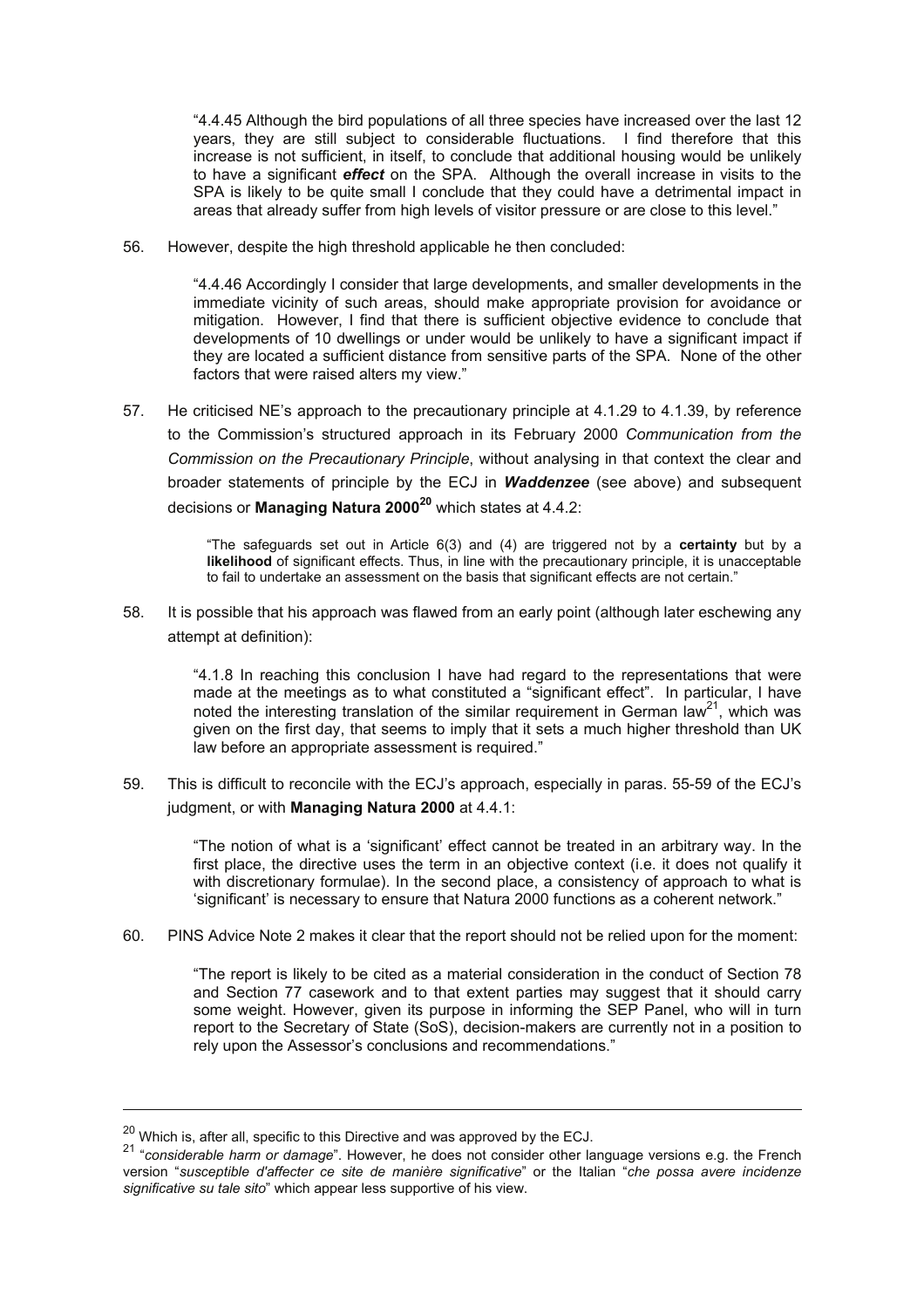"4.4.45 Although the bird populations of all three species have increased over the last 12 years, they are still subject to considerable fluctuations. I find therefore that this increase is not sufficient, in itself, to conclude that additional housing would be unlikely to have a significant *effect* on the SPA. Although the overall increase in visits to the SPA is likely to be quite small I conclude that they could have a detrimental impact in areas that already suffer from high levels of visitor pressure or are close to this level."

56. However, despite the high threshold applicable he then concluded:

"4.4.46 Accordingly I consider that large developments, and smaller developments in the immediate vicinity of such areas, should make appropriate provision for avoidance or mitigation. However, I find that there is sufficient objective evidence to conclude that developments of 10 dwellings or under would be unlikely to have a significant impact if they are located a sufficient distance from sensitive parts of the SPA. None of the other factors that were raised alters my view."

57. He criticised NE's approach to the precautionary principle at 4.1.29 to 4.1.39, by reference to the Commission's structured approach in its February 2000 *Communication from the Commission on the Precautionary Principle*, without analysing in that context the clear and broader statements of principle by the ECJ in *Waddenzee* (see above) and subsequent decisions or **Managing Natura 200020** which states at 4.4.2:

> "The safeguards set out in Article 6(3) and (4) are triggered not by a **certainty** but by a **likelihood** of significant effects. Thus, in line with the precautionary principle, it is unacceptable to fail to undertake an assessment on the basis that significant effects are not certain."

58. It is possible that his approach was flawed from an early point (although later eschewing any attempt at definition):

> "4.1.8 In reaching this conclusion I have had regard to the representations that were made at the meetings as to what constituted a "significant effect". In particular, I have noted the interesting translation of the similar requirement in German law<sup>21</sup>, which was given on the first day, that seems to imply that it sets a much higher threshold than UK law before an appropriate assessment is required."

59. This is difficult to reconcile with the ECJ's approach, especially in paras. 55-59 of the ECJ's judgment, or with **Managing Natura 2000** at 4.4.1:

> "The notion of what is a 'significant' effect cannot be treated in an arbitrary way. In the first place, the directive uses the term in an objective context (i.e. it does not qualify it with discretionary formulae). In the second place, a consistency of approach to what is 'significant' is necessary to ensure that Natura 2000 functions as a coherent network."

60. PINS Advice Note 2 makes it clear that the report should not be relied upon for the moment:

"The report is likely to be cited as a material consideration in the conduct of Section 78 and Section 77 casework and to that extent parties may suggest that it should carry some weight. However, given its purpose in informing the SEP Panel, who will in turn report to the Secretary of State (SoS), decision-makers are currently not in a position to rely upon the Assessor's conclusions and recommendations."

-

 $^{20}$  Which is, after all, specific to this Directive and was approved by the ECJ.

<sup>21 &</sup>quot;*considerable harm or damage*". However, he does not consider other language versions e.g. the French version "*susceptible d'affecter ce site de manière significative*" or the Italian "*che possa avere incidenze significative su tale sito*" which appear less supportive of his view.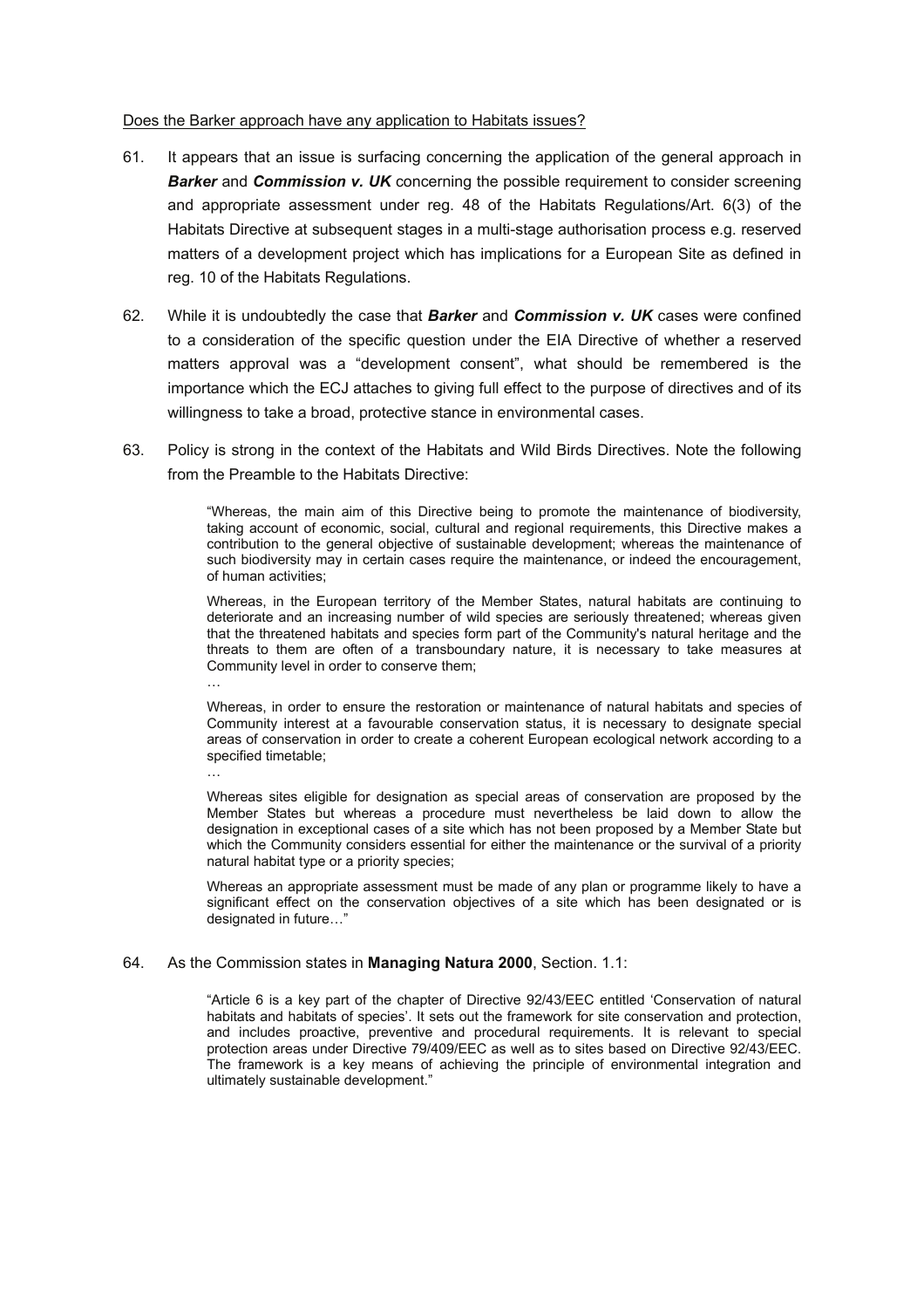#### Does the Barker approach have any application to Habitats issues?

- 61. It appears that an issue is surfacing concerning the application of the general approach in *Barker* and *Commission v. UK* concerning the possible requirement to consider screening and appropriate assessment under reg. 48 of the Habitats Regulations/Art. 6(3) of the Habitats Directive at subsequent stages in a multi-stage authorisation process e.g. reserved matters of a development project which has implications for a European Site as defined in reg. 10 of the Habitats Regulations.
- 62. While it is undoubtedly the case that *Barker* and *Commission v. UK* cases were confined to a consideration of the specific question under the EIA Directive of whether a reserved matters approval was a "development consent", what should be remembered is the importance which the ECJ attaches to giving full effect to the purpose of directives and of its willingness to take a broad, protective stance in environmental cases.
- 63. Policy is strong in the context of the Habitats and Wild Birds Directives. Note the following from the Preamble to the Habitats Directive:

"Whereas, the main aim of this Directive being to promote the maintenance of biodiversity, taking account of economic, social, cultural and regional requirements, this Directive makes a contribution to the general objective of sustainable development; whereas the maintenance of such biodiversity may in certain cases require the maintenance, or indeed the encouragement, of human activities;

Whereas, in the European territory of the Member States, natural habitats are continuing to deteriorate and an increasing number of wild species are seriously threatened; whereas given that the threatened habitats and species form part of the Community's natural heritage and the threats to them are often of a transboundary nature, it is necessary to take measures at Community level in order to conserve them; …

Whereas, in order to ensure the restoration or maintenance of natural habitats and species of Community interest at a favourable conservation status, it is necessary to designate special areas of conservation in order to create a coherent European ecological network according to a specified timetable;

Whereas sites eligible for designation as special areas of conservation are proposed by the Member States but whereas a procedure must nevertheless be laid down to allow the designation in exceptional cases of a site which has not been proposed by a Member State but which the Community considers essential for either the maintenance or the survival of a priority natural habitat type or a priority species;

Whereas an appropriate assessment must be made of any plan or programme likely to have a significant effect on the conservation objectives of a site which has been designated or is designated in future…"

#### 64. As the Commission states in **Managing Natura 2000**, Section. 1.1:

"Article 6 is a key part of the chapter of Directive 92/43/EEC entitled 'Conservation of natural habitats and habitats of species'. It sets out the framework for site conservation and protection, and includes proactive, preventive and procedural requirements. It is relevant to special protection areas under Directive 79/409/EEC as well as to sites based on Directive 92/43/EEC. The framework is a key means of achieving the principle of environmental integration and ultimately sustainable development."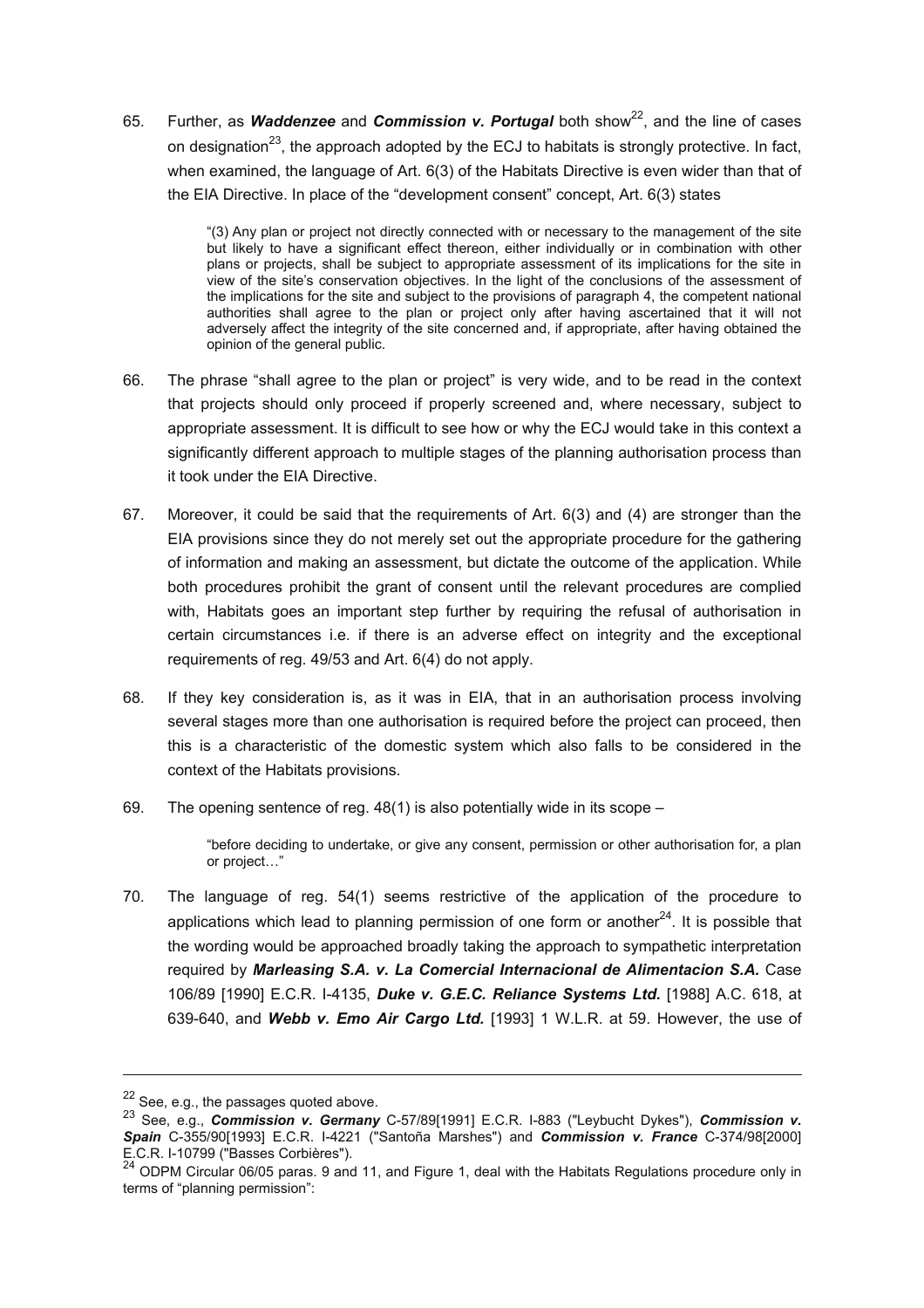65. Further, as *Waddenzee* and *Commission v. Portugal* both show22, and the line of cases on designation<sup>23</sup>, the approach adopted by the ECJ to habitats is strongly protective. In fact, when examined, the language of Art. 6(3) of the Habitats Directive is even wider than that of the EIA Directive. In place of the "development consent" concept, Art. 6(3) states

> "(3) Any plan or project not directly connected with or necessary to the management of the site but likely to have a significant effect thereon, either individually or in combination with other plans or projects, shall be subject to appropriate assessment of its implications for the site in view of the site's conservation objectives. In the light of the conclusions of the assessment of the implications for the site and subject to the provisions of paragraph 4, the competent national authorities shall agree to the plan or project only after having ascertained that it will not adversely affect the integrity of the site concerned and, if appropriate, after having obtained the opinion of the general public.

- 66. The phrase "shall agree to the plan or project" is very wide, and to be read in the context that projects should only proceed if properly screened and, where necessary, subject to appropriate assessment. It is difficult to see how or why the ECJ would take in this context a significantly different approach to multiple stages of the planning authorisation process than it took under the EIA Directive.
- 67. Moreover, it could be said that the requirements of Art. 6(3) and (4) are stronger than the EIA provisions since they do not merely set out the appropriate procedure for the gathering of information and making an assessment, but dictate the outcome of the application. While both procedures prohibit the grant of consent until the relevant procedures are complied with, Habitats goes an important step further by requiring the refusal of authorisation in certain circumstances i.e. if there is an adverse effect on integrity and the exceptional requirements of reg. 49/53 and Art. 6(4) do not apply.
- 68. If they key consideration is, as it was in EIA, that in an authorisation process involving several stages more than one authorisation is required before the project can proceed, then this is a characteristic of the domestic system which also falls to be considered in the context of the Habitats provisions.
- 69. The opening sentence of reg. 48(1) is also potentially wide in its scope –

"before deciding to undertake, or give any consent, permission or other authorisation for, a plan or project…"

70. The language of reg. 54(1) seems restrictive of the application of the procedure to applications which lead to planning permission of one form or another<sup>24</sup>. It is possible that the wording would be approached broadly taking the approach to sympathetic interpretation required by *Marleasing S.A. v. La Comercial Internacional de Alimentacion S.A.* Case 106/89 [1990] E.C.R. I-4135, *Duke v. G.E.C. Reliance Systems Ltd.* [1988] A.C. 618, at 639-640, and *Webb v. Emo Air Cargo Ltd.* [1993] 1 W.L.R. at 59. However, the use of

-

 $22$  See, e.g., the passages quoted above.

<sup>23</sup> See, e.g., *Commission v. Germany* C-57/89[1991] E.C.R. I-883 ("Leybucht Dykes"), *Commission v. Spain* C-355/90[1993] E.C.R. I-4221 ("Santoña Marshes") and *Commission v. France* C-374/98[2000] E.C.R. I-10799 ("Basses Corbières").

<sup>&</sup>lt;sup>24</sup> ODPM Circular 06/05 paras. 9 and 11, and Figure 1, deal with the Habitats Regulations procedure only in terms of "planning permission":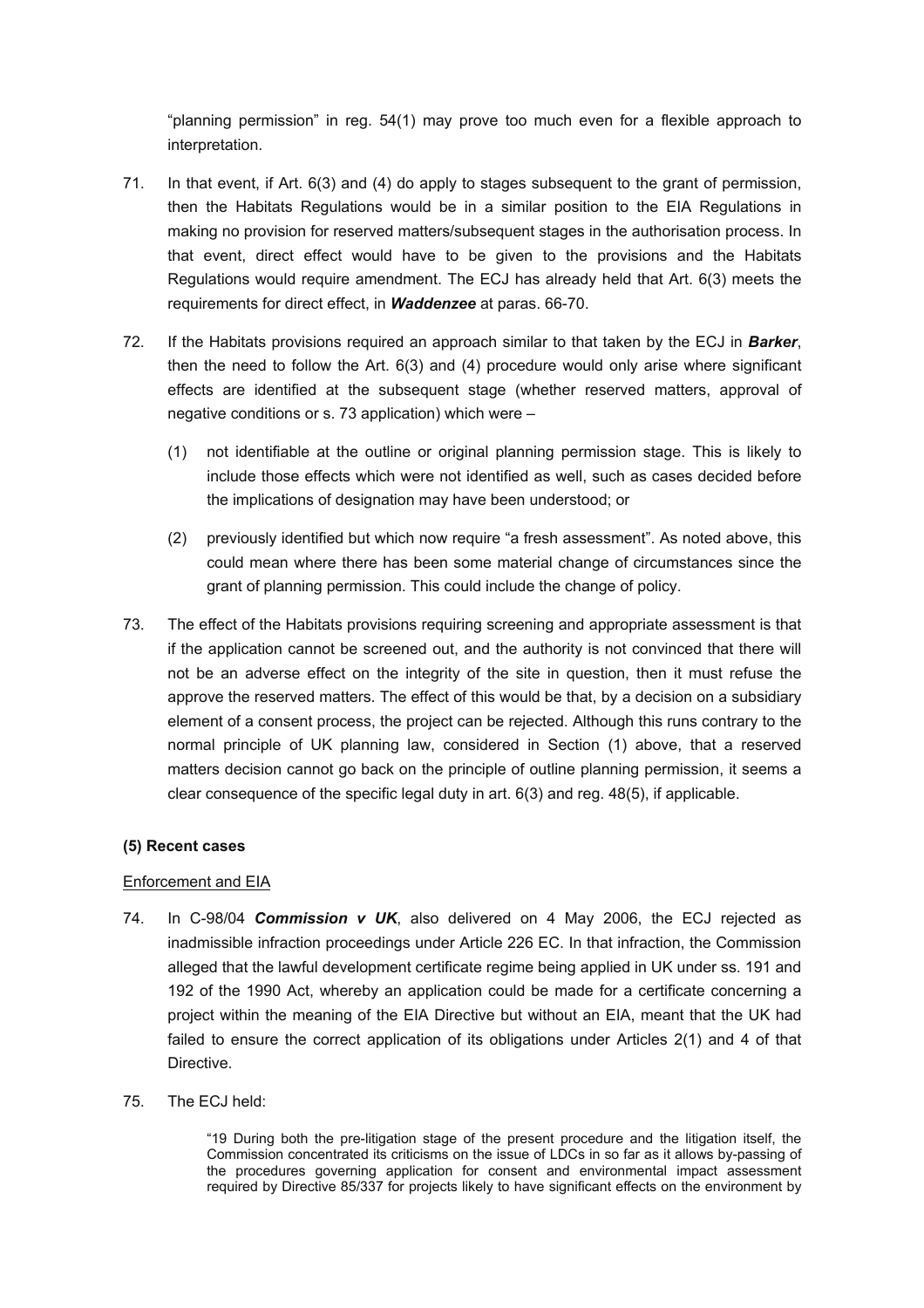"planning permission" in reg. 54(1) may prove too much even for a flexible approach to interpretation.

- 71. In that event, if Art. 6(3) and (4) do apply to stages subsequent to the grant of permission, then the Habitats Regulations would be in a similar position to the EIA Regulations in making no provision for reserved matters/subsequent stages in the authorisation process. In that event, direct effect would have to be given to the provisions and the Habitats Regulations would require amendment. The ECJ has already held that Art. 6(3) meets the requirements for direct effect, in *Waddenzee* at paras. 66-70.
- 72. If the Habitats provisions required an approach similar to that taken by the ECJ in *Barker*, then the need to follow the Art. 6(3) and (4) procedure would only arise where significant effects are identified at the subsequent stage (whether reserved matters, approval of negative conditions or s. 73 application) which were –
	- (1) not identifiable at the outline or original planning permission stage. This is likely to include those effects which were not identified as well, such as cases decided before the implications of designation may have been understood; or
	- (2) previously identified but which now require "a fresh assessment". As noted above, this could mean where there has been some material change of circumstances since the grant of planning permission. This could include the change of policy.
- 73. The effect of the Habitats provisions requiring screening and appropriate assessment is that if the application cannot be screened out, and the authority is not convinced that there will not be an adverse effect on the integrity of the site in question, then it must refuse the approve the reserved matters. The effect of this would be that, by a decision on a subsidiary element of a consent process, the project can be rejected. Although this runs contrary to the normal principle of UK planning law, considered in Section (1) above, that a reserved matters decision cannot go back on the principle of outline planning permission, it seems a clear consequence of the specific legal duty in art. 6(3) and reg. 48(5), if applicable.

## **(5) Recent cases**

## Enforcement and EIA

- 74. In C-98/04 *Commission v UK*, also delivered on 4 May 2006, the ECJ rejected as inadmissible infraction proceedings under Article 226 EC. In that infraction, the Commission alleged that the lawful development certificate regime being applied in UK under ss. 191 and 192 of the 1990 Act, whereby an application could be made for a certificate concerning a project within the meaning of the EIA Directive but without an EIA, meant that the UK had failed to ensure the correct application of its obligations under Articles 2(1) and 4 of that Directive.
- 75. The ECJ held:

"19 During both the pre-litigation stage of the present procedure and the litigation itself, the Commission concentrated its criticisms on the issue of LDCs in so far as it allows by-passing of the procedures governing application for consent and environmental impact assessment required by Directive 85/337 for projects likely to have significant effects on the environment by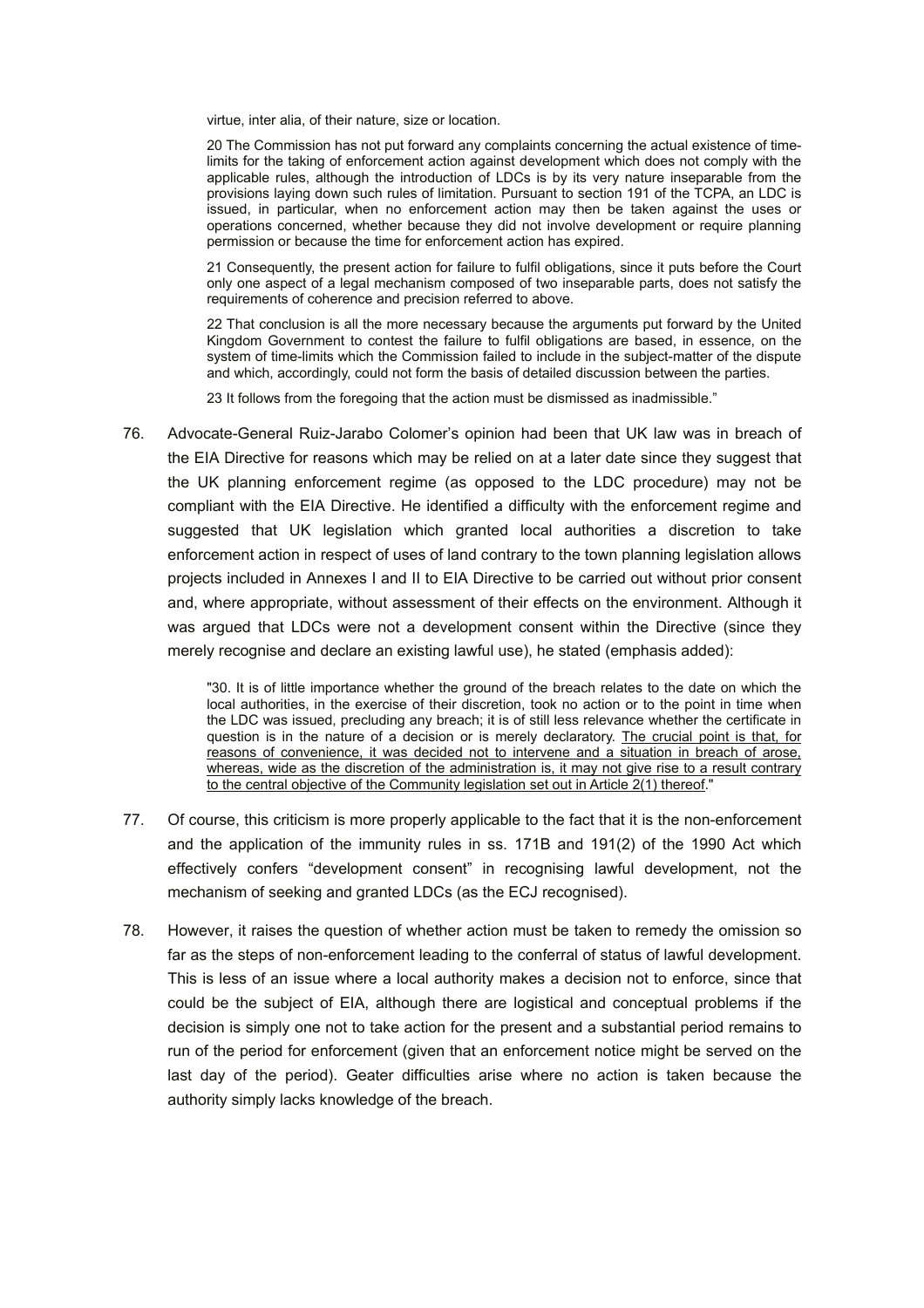virtue, inter alia, of their nature, size or location.

20 The Commission has not put forward any complaints concerning the actual existence of timelimits for the taking of enforcement action against development which does not comply with the applicable rules, although the introduction of LDCs is by its very nature inseparable from the provisions laying down such rules of limitation. Pursuant to section 191 of the TCPA, an LDC is issued, in particular, when no enforcement action may then be taken against the uses or operations concerned, whether because they did not involve development or require planning permission or because the time for enforcement action has expired.

21 Consequently, the present action for failure to fulfil obligations, since it puts before the Court only one aspect of a legal mechanism composed of two inseparable parts, does not satisfy the requirements of coherence and precision referred to above.

22 That conclusion is all the more necessary because the arguments put forward by the United Kingdom Government to contest the failure to fulfil obligations are based, in essence, on the system of time-limits which the Commission failed to include in the subject-matter of the dispute and which, accordingly, could not form the basis of detailed discussion between the parties.

23 It follows from the foregoing that the action must be dismissed as inadmissible."

76. Advocate-General Ruiz-Jarabo Colomer's opinion had been that UK law was in breach of the EIA Directive for reasons which may be relied on at a later date since they suggest that the UK planning enforcement regime (as opposed to the LDC procedure) may not be compliant with the EIA Directive. He identified a difficulty with the enforcement regime and suggested that UK legislation which granted local authorities a discretion to take enforcement action in respect of uses of land contrary to the town planning legislation allows projects included in Annexes I and II to EIA Directive to be carried out without prior consent and, where appropriate, without assessment of their effects on the environment. Although it was argued that LDCs were not a development consent within the Directive (since they merely recognise and declare an existing lawful use), he stated (emphasis added):

> "30. It is of little importance whether the ground of the breach relates to the date on which the local authorities, in the exercise of their discretion, took no action or to the point in time when the LDC was issued, precluding any breach; it is of still less relevance whether the certificate in question is in the nature of a decision or is merely declaratory. The crucial point is that, for reasons of convenience, it was decided not to intervene and a situation in breach of arose, whereas, wide as the discretion of the administration is, it may not give rise to a result contrary to the central objective of the Community legislation set out in Article 2(1) thereof."

- 77. Of course, this criticism is more properly applicable to the fact that it is the non-enforcement and the application of the immunity rules in ss. 171B and 191(2) of the 1990 Act which effectively confers "development consent" in recognising lawful development, not the mechanism of seeking and granted LDCs (as the ECJ recognised).
- 78. However, it raises the question of whether action must be taken to remedy the omission so far as the steps of non-enforcement leading to the conferral of status of lawful development. This is less of an issue where a local authority makes a decision not to enforce, since that could be the subject of EIA, although there are logistical and conceptual problems if the decision is simply one not to take action for the present and a substantial period remains to run of the period for enforcement (given that an enforcement notice might be served on the last day of the period). Geater difficulties arise where no action is taken because the authority simply lacks knowledge of the breach.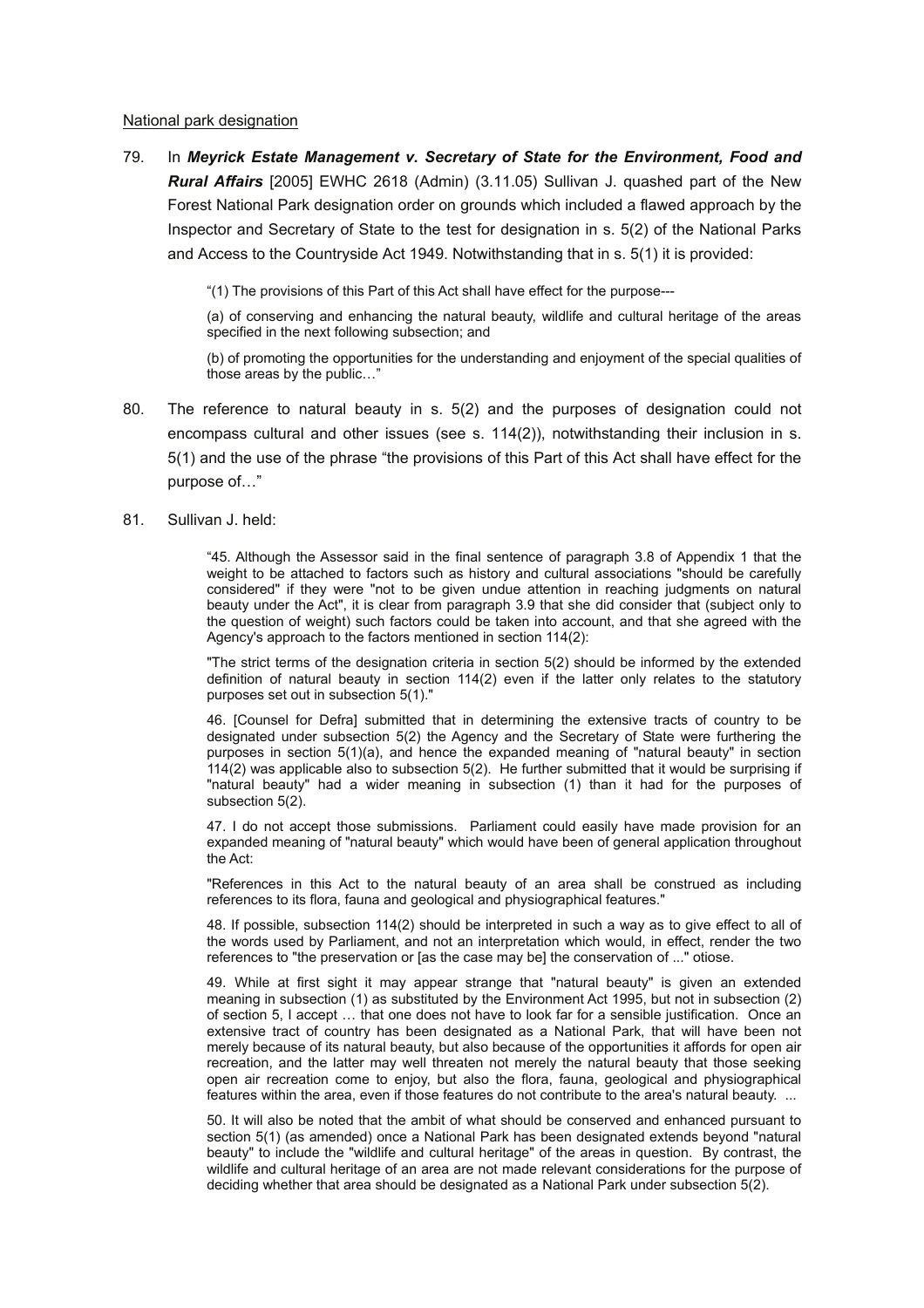#### National park designation

79. In *Meyrick Estate Management v. Secretary of State for the Environment, Food and Rural Affairs* [2005] EWHC 2618 (Admin) (3.11.05) Sullivan J. quashed part of the New Forest National Park designation order on grounds which included a flawed approach by the Inspector and Secretary of State to the test for designation in s. 5(2) of the National Parks and Access to the Countryside Act 1949. Notwithstanding that in s. 5(1) it is provided:

"(1) The provisions of this Part of this Act shall have effect for the purpose---

(a) of conserving and enhancing the natural beauty, wildlife and cultural heritage of the areas specified in the next following subsection; and

(b) of promoting the opportunities for the understanding and enjoyment of the special qualities of those areas by the public…"

- 80. The reference to natural beauty in s. 5(2) and the purposes of designation could not encompass cultural and other issues (see s. 114(2)), notwithstanding their inclusion in s. 5(1) and the use of the phrase "the provisions of this Part of this Act shall have effect for the purpose of…"
- 81. Sullivan J. held:

"45. Although the Assessor said in the final sentence of paragraph 3.8 of Appendix 1 that the weight to be attached to factors such as history and cultural associations "should be carefully considered" if they were "not to be given undue attention in reaching judgments on natural beauty under the Act", it is clear from paragraph 3.9 that she did consider that (subject only to the question of weight) such factors could be taken into account, and that she agreed with the Agency's approach to the factors mentioned in section 114(2):

"The strict terms of the designation criteria in section 5(2) should be informed by the extended definition of natural beauty in section 114(2) even if the latter only relates to the statutory purposes set out in subsection 5(1)."

46. [Counsel for Defra] submitted that in determining the extensive tracts of country to be designated under subsection 5(2) the Agency and the Secretary of State were furthering the purposes in section 5(1)(a), and hence the expanded meaning of "natural beauty" in section 114(2) was applicable also to subsection 5(2). He further submitted that it would be surprising if "natural beauty" had a wider meaning in subsection (1) than it had for the purposes of subsection 5(2).

47. I do not accept those submissions. Parliament could easily have made provision for an expanded meaning of "natural beauty" which would have been of general application throughout the Act:

"References in this Act to the natural beauty of an area shall be construed as including references to its flora, fauna and geological and physiographical features."

48. If possible, subsection 114(2) should be interpreted in such a way as to give effect to all of the words used by Parliament, and not an interpretation which would, in effect, render the two references to "the preservation or [as the case may be] the conservation of ..." otiose.

49. While at first sight it may appear strange that "natural beauty" is given an extended meaning in subsection (1) as substituted by the Environment Act 1995, but not in subsection (2) of section 5, I accept … that one does not have to look far for a sensible justification. Once an extensive tract of country has been designated as a National Park, that will have been not merely because of its natural beauty, but also because of the opportunities it affords for open air recreation, and the latter may well threaten not merely the natural beauty that those seeking open air recreation come to enjoy, but also the flora, fauna, geological and physiographical features within the area, even if those features do not contribute to the area's natural beauty. ...

50. It will also be noted that the ambit of what should be conserved and enhanced pursuant to section 5(1) (as amended) once a National Park has been designated extends beyond "natural beauty" to include the "wildlife and cultural heritage" of the areas in question. By contrast, the wildlife and cultural heritage of an area are not made relevant considerations for the purpose of deciding whether that area should be designated as a National Park under subsection 5(2).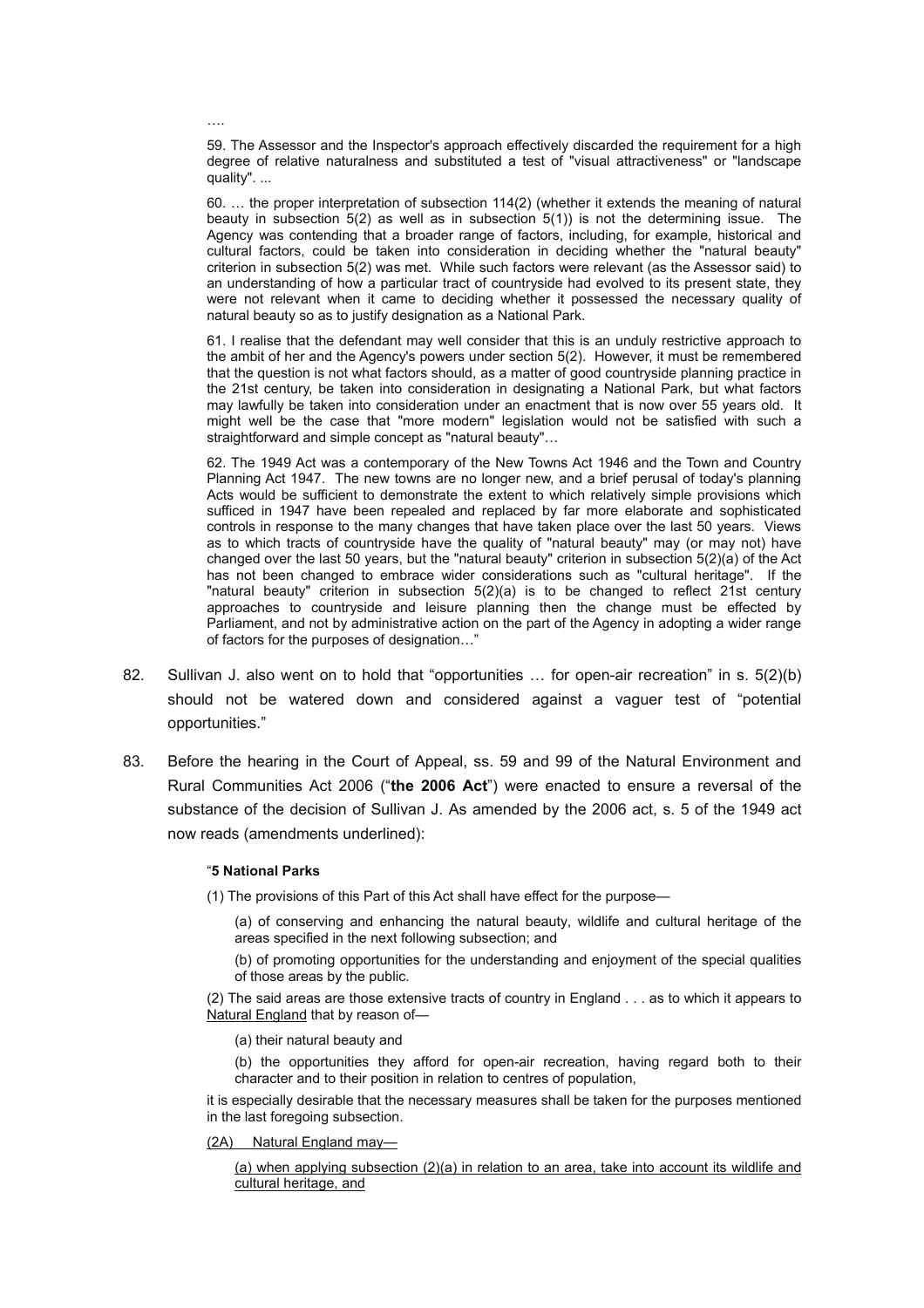59. The Assessor and the Inspector's approach effectively discarded the requirement for a high degree of relative naturalness and substituted a test of "visual attractiveness" or "landscape quality". ...

60. … the proper interpretation of subsection 114(2) (whether it extends the meaning of natural beauty in subsection 5(2) as well as in subsection 5(1)) is not the determining issue. The Agency was contending that a broader range of factors, including, for example, historical and cultural factors, could be taken into consideration in deciding whether the "natural beauty" criterion in subsection 5(2) was met. While such factors were relevant (as the Assessor said) to an understanding of how a particular tract of countryside had evolved to its present state, they were not relevant when it came to deciding whether it possessed the necessary quality of natural beauty so as to justify designation as a National Park.

61. I realise that the defendant may well consider that this is an unduly restrictive approach to the ambit of her and the Agency's powers under section 5(2). However, it must be remembered that the question is not what factors should, as a matter of good countryside planning practice in the 21st century, be taken into consideration in designating a National Park, but what factors may lawfully be taken into consideration under an enactment that is now over 55 years old. It might well be the case that "more modern" legislation would not be satisfied with such a straightforward and simple concept as "natural beauty"…

62. The 1949 Act was a contemporary of the New Towns Act 1946 and the Town and Country Planning Act 1947. The new towns are no longer new, and a brief perusal of today's planning Acts would be sufficient to demonstrate the extent to which relatively simple provisions which sufficed in 1947 have been repealed and replaced by far more elaborate and sophisticated controls in response to the many changes that have taken place over the last 50 years. Views as to which tracts of countryside have the quality of "natural beauty" may (or may not) have changed over the last 50 years, but the "natural beauty" criterion in subsection 5(2)(a) of the Act has not been changed to embrace wider considerations such as "cultural heritage". If the "natural beauty" criterion in subsection  $5(2)(a)$  is to be changed to reflect 21st century approaches to countryside and leisure planning then the change must be effected by Parliament, and not by administrative action on the part of the Agency in adopting a wider range of factors for the purposes of designation…"

- 82. Sullivan J. also went on to hold that "opportunities … for open-air recreation" in s. 5(2)(b) should not be watered down and considered against a vaguer test of "potential opportunities."
- 83. Before the hearing in the Court of Appeal, ss. 59 and 99 of the Natural Environment and Rural Communities Act 2006 ("**the 2006 Act**") were enacted to ensure a reversal of the substance of the decision of Sullivan J. As amended by the 2006 act, s. 5 of the 1949 act now reads (amendments underlined):

#### "**5 National Parks**

….

(1) The provisions of this Part of this Act shall have effect for the purpose—

(a) of conserving and enhancing the natural beauty, wildlife and cultural heritage of the areas specified in the next following subsection; and

(b) of promoting opportunities for the understanding and enjoyment of the special qualities of those areas by the public.

(2) The said areas are those extensive tracts of country in England . . . as to which it appears to Natural England that by reason of—

(a) their natural beauty and

(b) the opportunities they afford for open-air recreation, having regard both to their character and to their position in relation to centres of population,

it is especially desirable that the necessary measures shall be taken for the purposes mentioned in the last foregoing subsection.

(2A) Natural England may—

(a) when applying subsection (2)(a) in relation to an area, take into account its wildlife and cultural heritage, and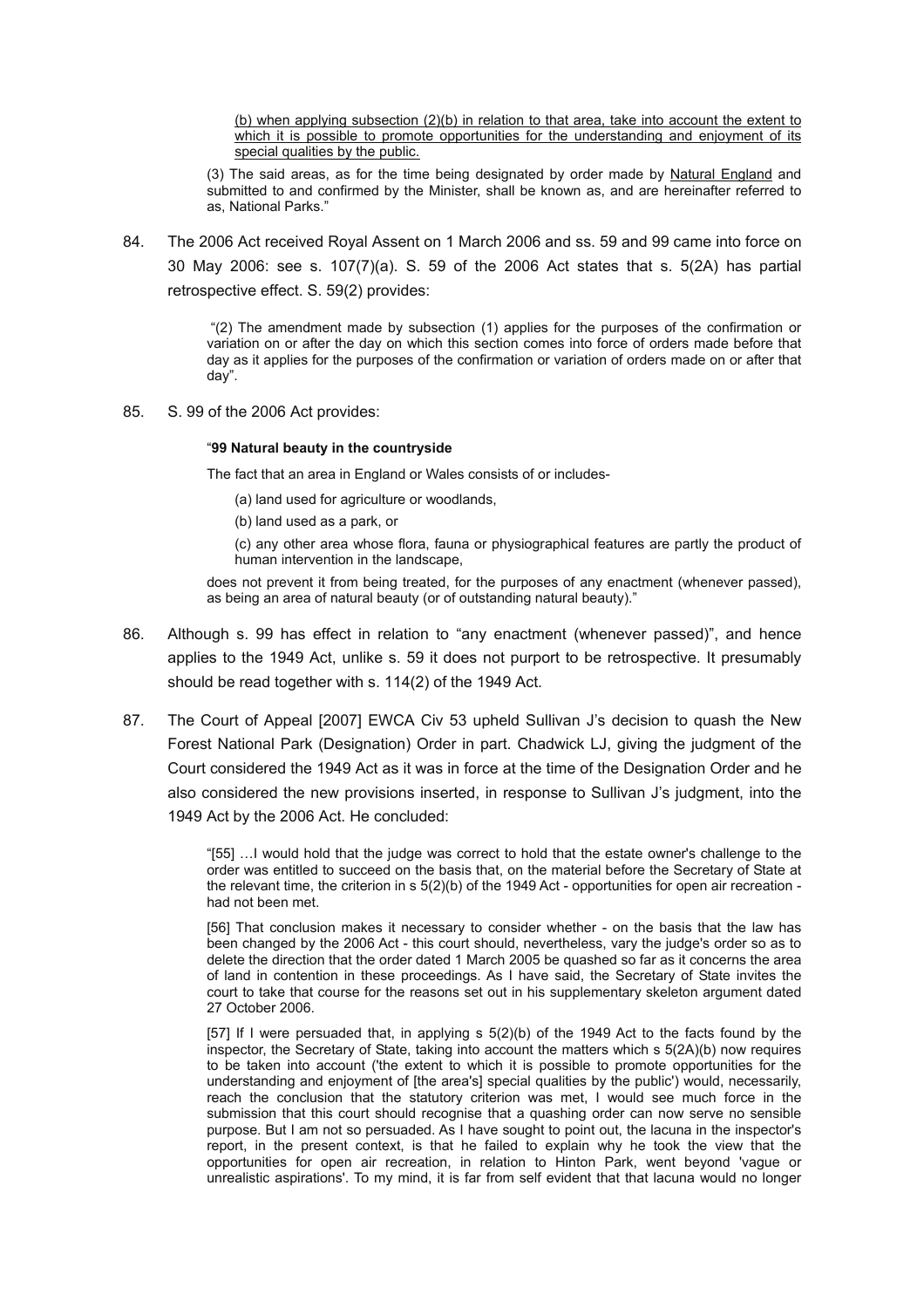(b) when applying subsection (2)(b) in relation to that area, take into account the extent to which it is possible to promote opportunities for the understanding and enjoyment of its special qualities by the public.

(3) The said areas, as for the time being designated by order made by Natural England and submitted to and confirmed by the Minister, shall be known as, and are hereinafter referred to as, National Parks."

84. The 2006 Act received Royal Assent on 1 March 2006 and ss. 59 and 99 came into force on 30 May 2006: see s. 107(7)(a). S. 59 of the 2006 Act states that s. 5(2A) has partial retrospective effect. S. 59(2) provides:

> "(2) The amendment made by subsection (1) applies for the purposes of the confirmation or variation on or after the day on which this section comes into force of orders made before that day as it applies for the purposes of the confirmation or variation of orders made on or after that day".

85. S. 99 of the 2006 Act provides:

#### "**99 Natural beauty in the countryside**

The fact that an area in England or Wales consists of or includes-

- (a) land used for agriculture or woodlands,
- (b) land used as a park, or

(c) any other area whose flora, fauna or physiographical features are partly the product of human intervention in the landscape,

does not prevent it from being treated, for the purposes of any enactment (whenever passed), as being an area of natural beauty (or of outstanding natural beauty)."

- 86. Although s. 99 has effect in relation to "any enactment (whenever passed)", and hence applies to the 1949 Act, unlike s. 59 it does not purport to be retrospective. It presumably should be read together with s. 114(2) of the 1949 Act.
- 87. The Court of Appeal [2007] EWCA Civ 53 upheld Sullivan J's decision to quash the New Forest National Park (Designation) Order in part. Chadwick LJ, giving the judgment of the Court considered the 1949 Act as it was in force at the time of the Designation Order and he also considered the new provisions inserted, in response to Sullivan J's judgment, into the 1949 Act by the 2006 Act. He concluded:

"[55] …I would hold that the judge was correct to hold that the estate owner's challenge to the order was entitled to succeed on the basis that, on the material before the Secretary of State at the relevant time, the criterion in s 5(2)(b) of the 1949 Act - opportunities for open air recreation had not been met.

[56] That conclusion makes it necessary to consider whether - on the basis that the law has been changed by the 2006 Act - this court should, nevertheless, vary the judge's order so as to delete the direction that the order dated 1 March 2005 be quashed so far as it concerns the area of land in contention in these proceedings. As I have said, the Secretary of State invites the court to take that course for the reasons set out in his supplementary skeleton argument dated 27 October 2006.

[57] If I were persuaded that, in applying  $s$  5(2)(b) of the 1949 Act to the facts found by the inspector, the Secretary of State, taking into account the matters which s 5(2A)(b) now requires to be taken into account ('the extent to which it is possible to promote opportunities for the understanding and enjoyment of [the area's] special qualities by the public') would, necessarily, reach the conclusion that the statutory criterion was met, I would see much force in the submission that this court should recognise that a quashing order can now serve no sensible purpose. But I am not so persuaded. As I have sought to point out, the lacuna in the inspector's report, in the present context, is that he failed to explain why he took the view that the opportunities for open air recreation, in relation to Hinton Park, went beyond 'vague or unrealistic aspirations'. To my mind, it is far from self evident that that lacuna would no longer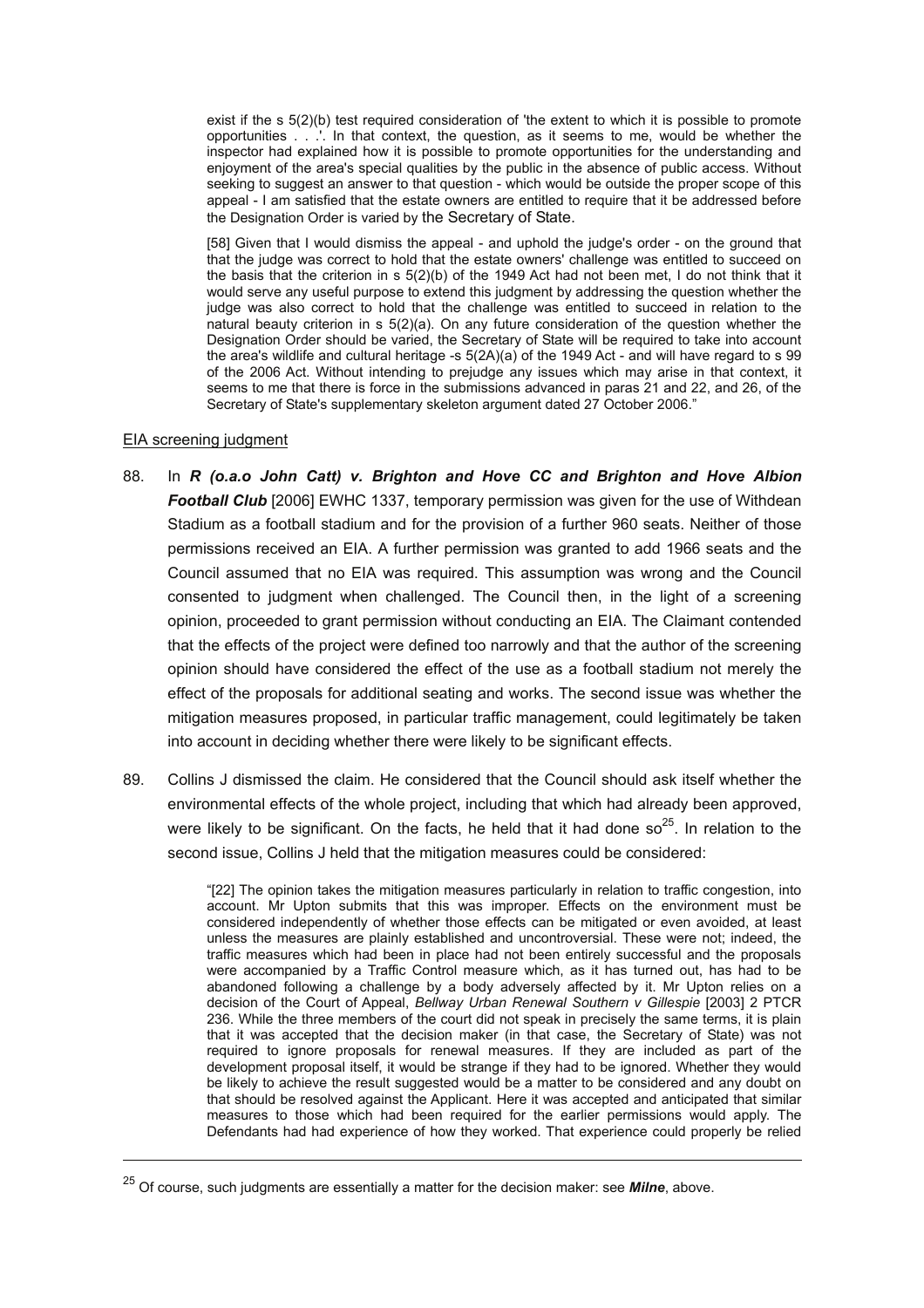exist if the s 5(2)(b) test required consideration of 'the extent to which it is possible to promote opportunities . . .'. In that context, the question, as it seems to me, would be whether the inspector had explained how it is possible to promote opportunities for the understanding and enjoyment of the area's special qualities by the public in the absence of public access. Without seeking to suggest an answer to that question - which would be outside the proper scope of this appeal - I am satisfied that the estate owners are entitled to require that it be addressed before the Designation Order is varied by the Secretary of State.

[58] Given that I would dismiss the appeal - and uphold the judge's order - on the ground that that the judge was correct to hold that the estate owners' challenge was entitled to succeed on the basis that the criterion in s 5(2)(b) of the 1949 Act had not been met, I do not think that it would serve any useful purpose to extend this judgment by addressing the question whether the judge was also correct to hold that the challenge was entitled to succeed in relation to the natural beauty criterion in s 5(2)(a). On any future consideration of the question whether the Designation Order should be varied, the Secretary of State will be required to take into account the area's wildlife and cultural heritage -s 5(2A)(a) of the 1949 Act - and will have regard to s 99 of the 2006 Act. Without intending to prejudge any issues which may arise in that context, it seems to me that there is force in the submissions advanced in paras 21 and 22, and 26, of the Secretary of State's supplementary skeleton argument dated 27 October 2006."

#### EIA screening judgment

- 88. In *R (o.a.o John Catt) v. Brighton and Hove CC and Brighton and Hove Albion*  **Football Club** [2006] EWHC 1337, temporary permission was given for the use of Withdean Stadium as a football stadium and for the provision of a further 960 seats. Neither of those permissions received an EIA. A further permission was granted to add 1966 seats and the Council assumed that no EIA was required. This assumption was wrong and the Council consented to judgment when challenged. The Council then, in the light of a screening opinion, proceeded to grant permission without conducting an EIA. The Claimant contended that the effects of the project were defined too narrowly and that the author of the screening opinion should have considered the effect of the use as a football stadium not merely the effect of the proposals for additional seating and works. The second issue was whether the mitigation measures proposed, in particular traffic management, could legitimately be taken into account in deciding whether there were likely to be significant effects.
- 89. Collins J dismissed the claim. He considered that the Council should ask itself whether the environmental effects of the whole project, including that which had already been approved, were likely to be significant. On the facts, he held that it had done so<sup>25</sup>. In relation to the second issue, Collins J held that the mitigation measures could be considered:

"[22] The opinion takes the mitigation measures particularly in relation to traffic congestion, into account. Mr Upton submits that this was improper. Effects on the environment must be considered independently of whether those effects can be mitigated or even avoided, at least unless the measures are plainly established and uncontroversial. These were not; indeed, the traffic measures which had been in place had not been entirely successful and the proposals were accompanied by a Traffic Control measure which, as it has turned out, has had to be abandoned following a challenge by a body adversely affected by it. Mr Upton relies on a decision of the Court of Appeal, *Bellway Urban Renewal Southern v Gillespie* [2003] 2 PTCR 236. While the three members of the court did not speak in precisely the same terms, it is plain that it was accepted that the decision maker (in that case, the Secretary of State) was not required to ignore proposals for renewal measures. If they are included as part of the development proposal itself, it would be strange if they had to be ignored. Whether they would be likely to achieve the result suggested would be a matter to be considered and any doubt on that should be resolved against the Applicant. Here it was accepted and anticipated that similar measures to those which had been required for the earlier permissions would apply. The Defendants had had experience of how they worked. That experience could properly be relied

<sup>25</sup> Of course, such judgments are essentially a matter for the decision maker: see *Milne*, above.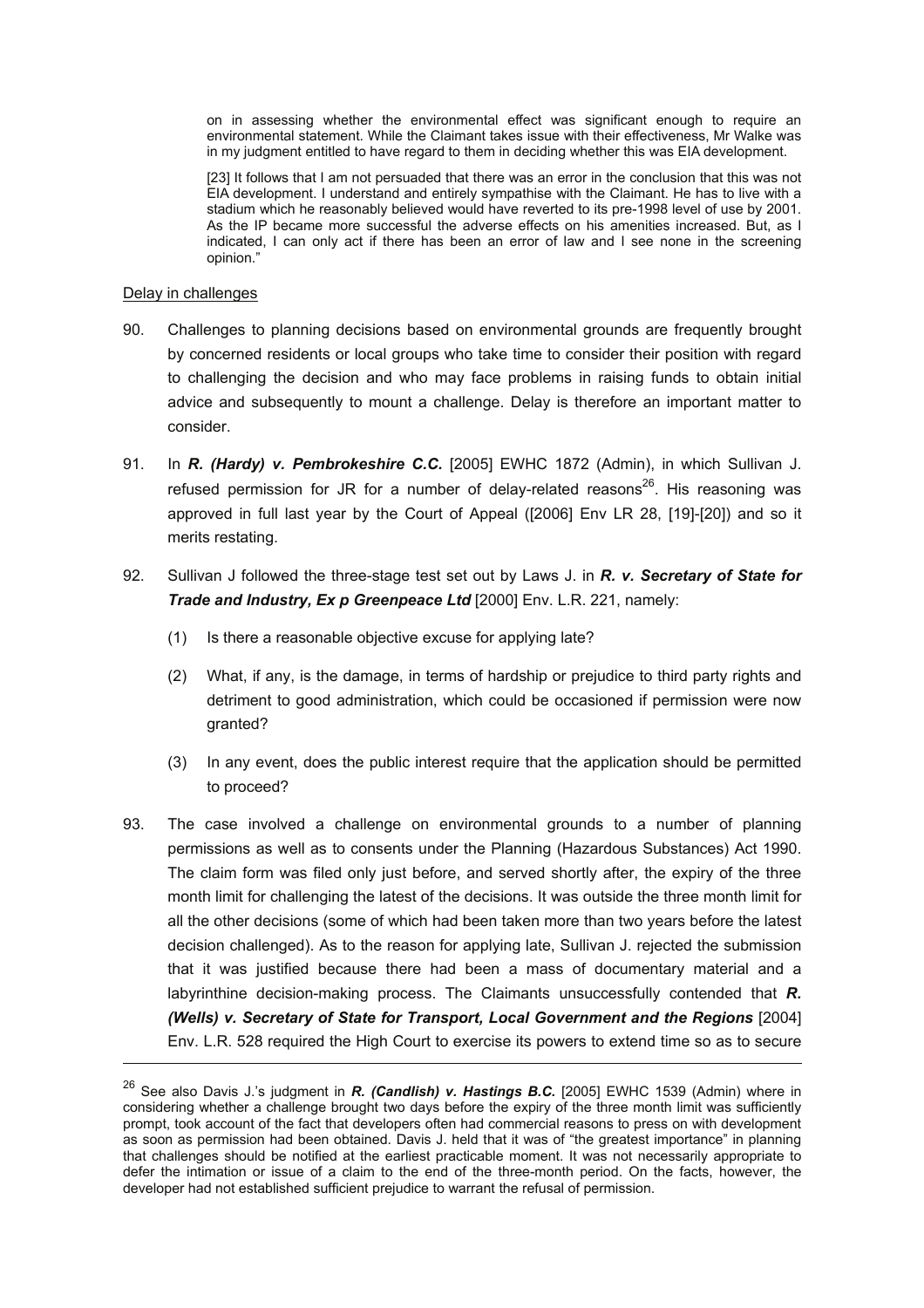on in assessing whether the environmental effect was significant enough to require an environmental statement. While the Claimant takes issue with their effectiveness, Mr Walke was in my judgment entitled to have regard to them in deciding whether this was EIA development.

[23] It follows that I am not persuaded that there was an error in the conclusion that this was not EIA development. I understand and entirely sympathise with the Claimant. He has to live with a stadium which he reasonably believed would have reverted to its pre-1998 level of use by 2001. As the IP became more successful the adverse effects on his amenities increased. But, as I indicated, I can only act if there has been an error of law and I see none in the screening opinion."

#### Delay in challenges

-

- 90. Challenges to planning decisions based on environmental grounds are frequently brought by concerned residents or local groups who take time to consider their position with regard to challenging the decision and who may face problems in raising funds to obtain initial advice and subsequently to mount a challenge. Delay is therefore an important matter to consider.
- 91. In *R. (Hardy) v. Pembrokeshire C.C.* [2005] EWHC 1872 (Admin), in which Sullivan J. refused permission for JR for a number of delay-related reasons<sup>26</sup>. His reasoning was approved in full last year by the Court of Appeal ([2006] Env LR 28, [19]-[20]) and so it merits restating.
- 92. Sullivan J followed the three-stage test set out by Laws J. in *R. v. Secretary of State for Trade and Industry, Ex p Greenpeace Ltd* [2000] Env. L.R. 221, namely:
	- (1) Is there a reasonable objective excuse for applying late?
	- (2) What, if any, is the damage, in terms of hardship or prejudice to third party rights and detriment to good administration, which could be occasioned if permission were now granted?
	- (3) In any event, does the public interest require that the application should be permitted to proceed?
- 93. The case involved a challenge on environmental grounds to a number of planning permissions as well as to consents under the Planning (Hazardous Substances) Act 1990. The claim form was filed only just before, and served shortly after, the expiry of the three month limit for challenging the latest of the decisions. It was outside the three month limit for all the other decisions (some of which had been taken more than two years before the latest decision challenged). As to the reason for applying late, Sullivan J. rejected the submission that it was justified because there had been a mass of documentary material and a labyrinthine decision-making process. The Claimants unsuccessfully contended that *R. (Wells) v. Secretary of State for Transport, Local Government and the Regions* [2004] Env. L.R. 528 required the High Court to exercise its powers to extend time so as to secure

<sup>26</sup> See also Davis J.'s judgment in *R. (Candlish) v. Hastings B.C.* [2005] EWHC 1539 (Admin) where in considering whether a challenge brought two days before the expiry of the three month limit was sufficiently prompt, took account of the fact that developers often had commercial reasons to press on with development as soon as permission had been obtained. Davis J. held that it was of "the greatest importance" in planning that challenges should be notified at the earliest practicable moment. It was not necessarily appropriate to defer the intimation or issue of a claim to the end of the three-month period. On the facts, however, the developer had not established sufficient prejudice to warrant the refusal of permission.